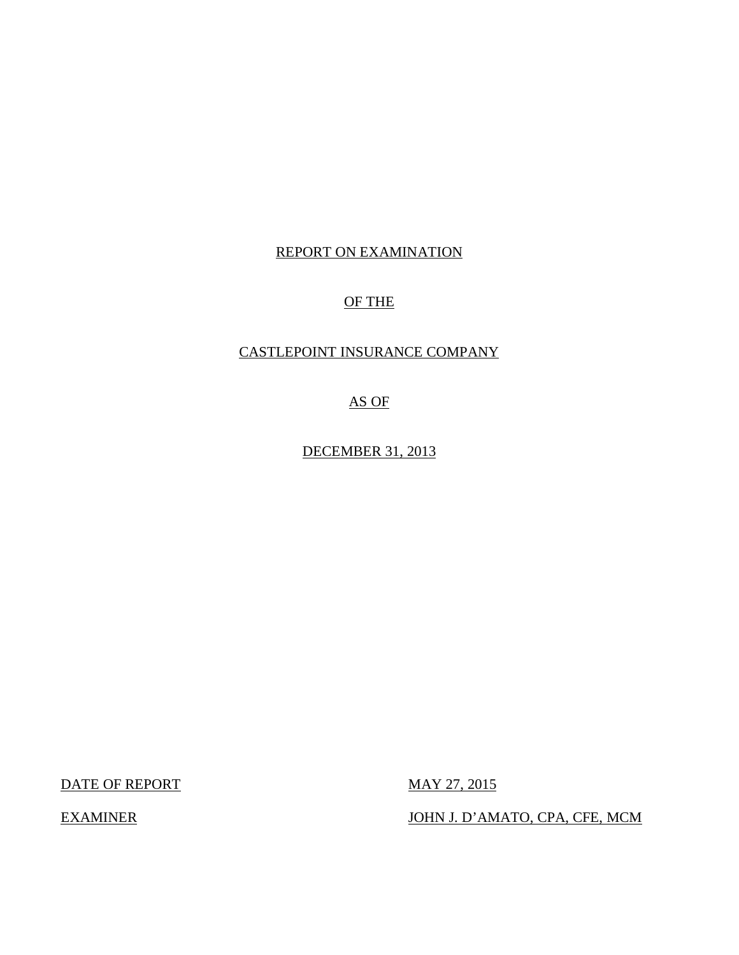## REPORT ON EXAMINATION

## OF THE

## CASTLEPOINT INSURANCE COMPANY

AS OF

DECEMBER 31, 2013

DATE OF REPORT MAY 27, 2015

EXAMINER JOHN J. D'AMATO, CPA, CFE, MCM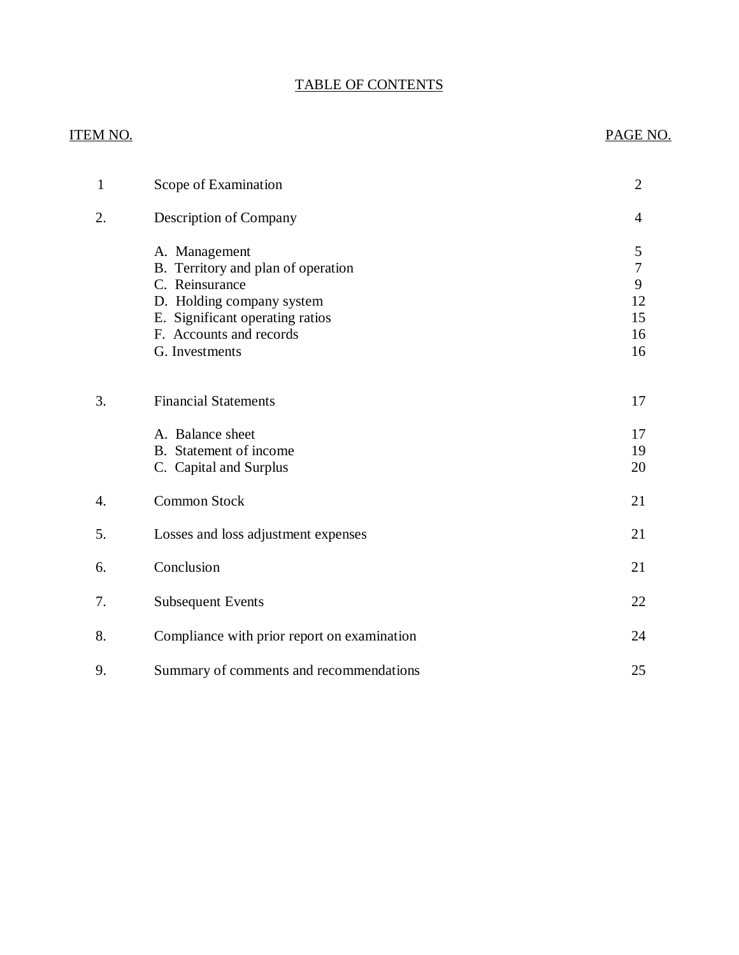## TABLE OF CONTENTS

## ITEM NO. PAGE NO.

| $\mathbf{1}$ | Scope of Examination                                                                                                                                                               | $\overline{2}$                           |
|--------------|------------------------------------------------------------------------------------------------------------------------------------------------------------------------------------|------------------------------------------|
| 2.           | Description of Company                                                                                                                                                             | 4                                        |
|              | A. Management<br>B. Territory and plan of operation<br>C. Reinsurance<br>D. Holding company system<br>E. Significant operating ratios<br>F. Accounts and records<br>G. Investments | 5<br>$\tau$<br>9<br>12<br>15<br>16<br>16 |
| 3.           | <b>Financial Statements</b>                                                                                                                                                        | 17                                       |
|              | A. Balance sheet<br>B. Statement of income<br>C. Capital and Surplus                                                                                                               | 17<br>19<br>20                           |
| 4.           | Common Stock                                                                                                                                                                       | 21                                       |
| 5.           | Losses and loss adjustment expenses                                                                                                                                                | 21                                       |
| 6.           | Conclusion                                                                                                                                                                         | 21                                       |
| 7.           | <b>Subsequent Events</b>                                                                                                                                                           | 22                                       |
| 8.           | Compliance with prior report on examination                                                                                                                                        | 24                                       |
| 9.           | Summary of comments and recommendations                                                                                                                                            | 25                                       |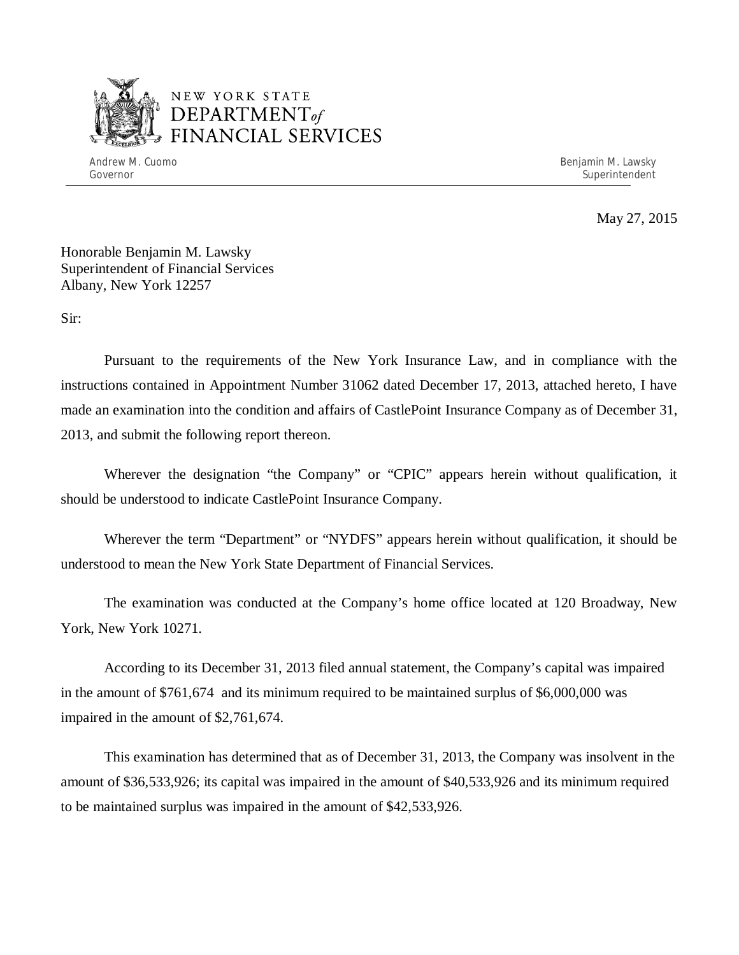

## NEW YORK STATE *DEPARTMENTof*  FINANCIAL SERVICES

Andrew M. Cuomo **Benjamin M. Lawsky** Governor Superintendent Superintendent Superintendent Superintendent Superintendent Superintendent Superintendent

May 27, 2015

Honorable Benjamin M. Lawsky Superintendent of Financial Services Albany, New York 12257

Sir:

Pursuant to the requirements of the New York Insurance Law, and in compliance with the instructions contained in Appointment Number 31062 dated December 17, 2013, attached hereto, I have made an examination into the condition and affairs of CastlePoint Insurance Company as of December 31, 2013, and submit the following report thereon.

Wherever the designation "the Company" or "CPIC" appears herein without qualification, it should be understood to indicate CastlePoint Insurance Company.

Wherever the term "Department" or "NYDFS" appears herein without qualification, it should be understood to mean the New York State Department of Financial Services.

The examination was conducted at the Company's home office located at 120 Broadway, New York, New York 10271.

According to its December 31, 2013 filed annual statement, the Company's capital was impaired in the amount of \$761,674 and its minimum required to be maintained surplus of \$6,000,000 was impaired in the amount of \$2,761,674.

This examination has determined that as of December 31, 2013, the Company was insolvent in the amount of \$36,533,926; its capital was impaired in the amount of \$40,533,926 and its minimum required to be maintained surplus was impaired in the amount of \$42,533,926.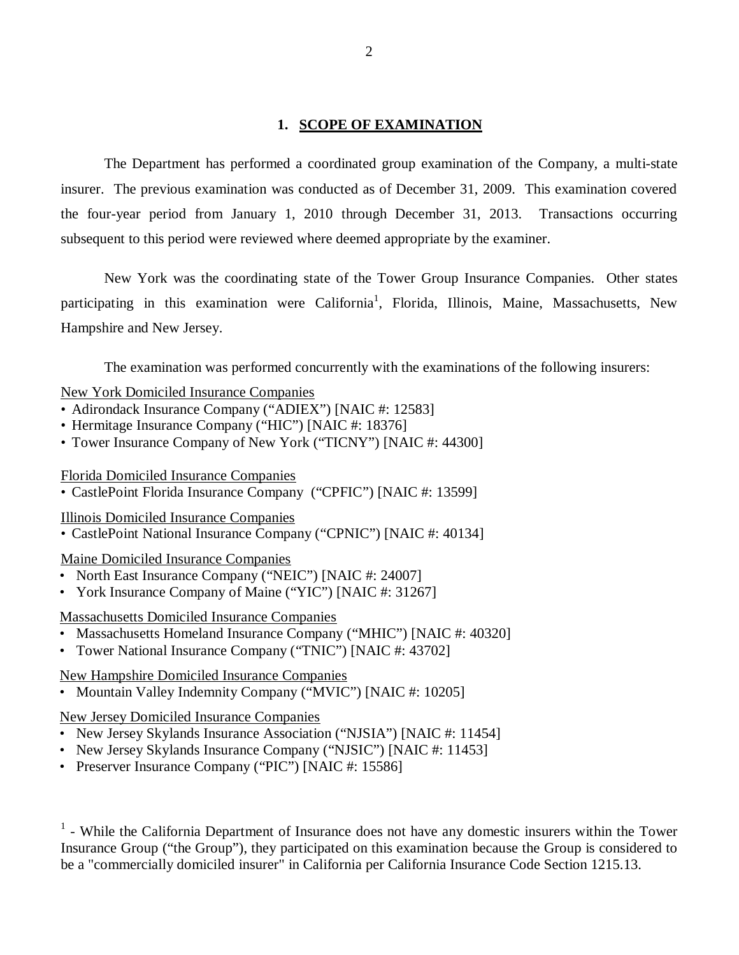### **1. SCOPE OF EXAMINATION**

<span id="page-3-0"></span>The Department has performed a coordinated group examination of the Company*,* a multi-state insurer. The previous examination was conducted as of December 31, 2009. This examination covered the four-year period from January 1, 2010 through December 31, 2013. Transactions occurring subsequent to this period were reviewed where deemed appropriate by the examiner.

New York was the coordinating state of the Tower Group Insurance Companies. Other states participating in this examination were California<sup>1</sup>, Florida, Illinois, Maine, Massachusetts, New Hampshire and New Jersey.

The examination was performed concurrently with the examinations of the following insurers:

### New York Domiciled Insurance Companies

- Adirondack Insurance Company ("ADIEX") [NAIC #: 12583]
- Hermitage Insurance Company ("HIC") [NAIC #: 18376]
- Tower Insurance Company of New York ("TICNY") [NAIC #: 44300]

Florida Domiciled Insurance Companies

• CastlePoint Florida Insurance Company ("CPFIC") [NAIC #: 13599]

Illinois Domiciled Insurance Companies

• CastlePoint National Insurance Company ("CPNIC") [NAIC #: 40134]

Maine Domiciled Insurance Companies

- North East Insurance Company ("NEIC") [NAIC #: 24007]
- York Insurance Company of Maine ("YIC") [NAIC #: 31267]

Massachusetts Domiciled Insurance Companies

- Massachusetts Homeland Insurance Company ("MHIC") [NAIC #: 40320]
- Tower National Insurance Company ("TNIC") [NAIC #: 43702]

New Hampshire Domiciled Insurance Companies

```
• Mountain Valley Indemnity Company ("MVIC") [NAIC #: 10205]
```
New Jersey Domiciled Insurance Companies

- New Jersey Skylands Insurance Association ("NJSIA") [NAIC #: 11454]
- New Jersey Skylands Insurance Company ("NJSIC") [NAIC #: 11453]
- Preserver Insurance Company ("PIC") [NAIC #: 15586]

 $<sup>1</sup>$  - While the California Department of Insurance does not have any domestic insurers within the Tower</sup> Insurance Group ("the Group"), they participated on this examination because the Group is considered to be a "commercially domiciled insurer" in California per California Insurance Code Section 1215.13.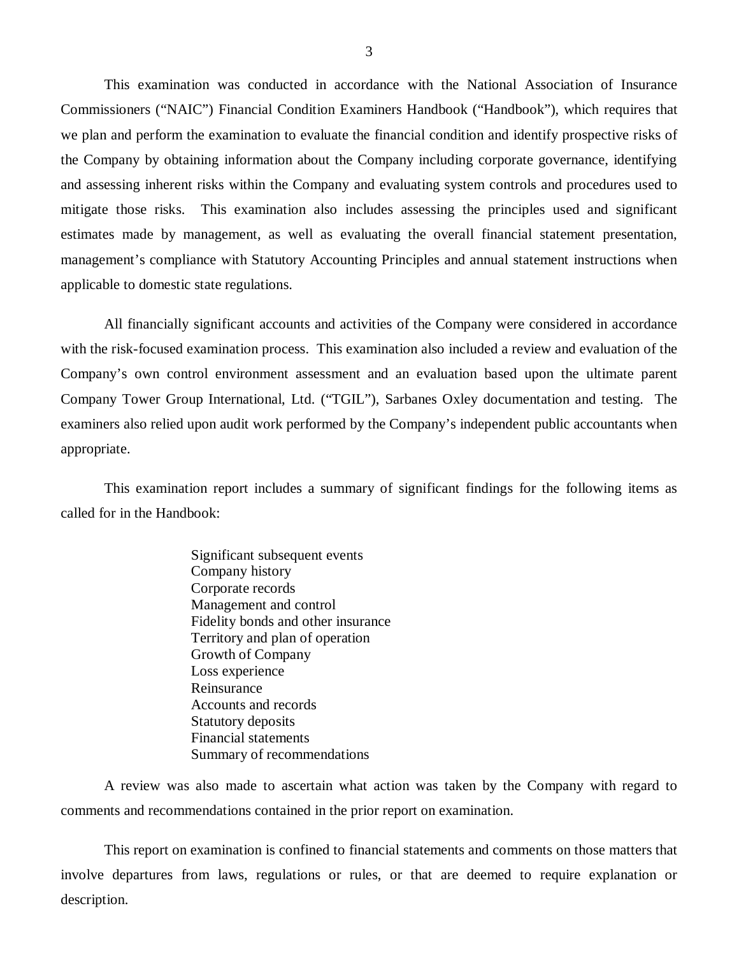This examination was conducted in accordance with the National Association of Insurance Commissioners ("NAIC") Financial Condition Examiners Handbook ("Handbook"), which requires that we plan and perform the examination to evaluate the financial condition and identify prospective risks of the Company by obtaining information about the Company including corporate governance, identifying and assessing inherent risks within the Company and evaluating system controls and procedures used to mitigate those risks. This examination also includes assessing the principles used and significant estimates made by management, as well as evaluating the overall financial statement presentation, management's compliance with Statutory Accounting Principles and annual statement instructions when applicable to domestic state regulations.

All financially significant accounts and activities of the Company were considered in accordance with the risk-focused examination process. This examination also included a review and evaluation of the Company's own control environment assessment and an evaluation based upon the ultimate parent Company Tower Group International, Ltd. ("TGIL"), Sarbanes Oxley documentation and testing. The examiners also relied upon audit work performed by the Company's independent public accountants when appropriate.

This examination report includes a summary of significant findings for the following items as called for in the Handbook:

> Significant subsequent events Company history Corporate records Management and control Fidelity bonds and other insurance Territory and plan of operation Growth of Company Loss experience Reinsurance Accounts and records Statutory deposits Financial statements Summary of recommendations

A review was also made to ascertain what action was taken by the Company with regard to comments and recommendations contained in the prior report on examination.

This report on examination is confined to financial statements and comments on those matters that involve departures from laws, regulations or rules, or that are deemed to require explanation or description.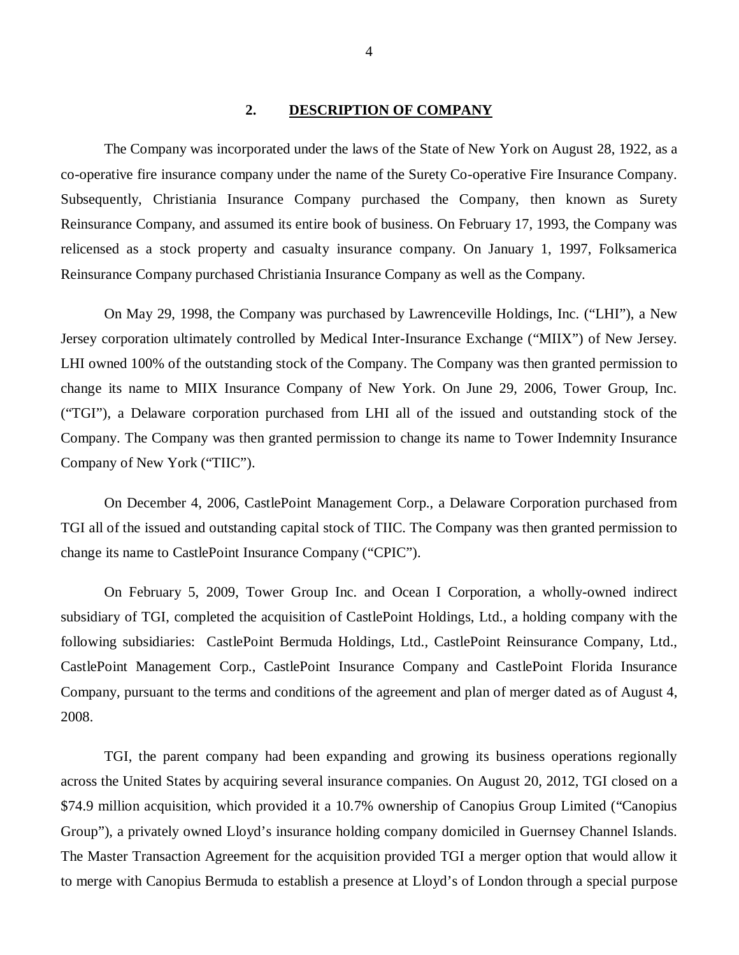#### **2. DESCRIPTION OF COMPANY**

<span id="page-5-0"></span>The Company was incorporated under the laws of the State of New York on August 28, 1922, as a co-operative fire insurance company under the name of the Surety Co-operative Fire Insurance Company. Subsequently, Christiania Insurance Company purchased the Company, then known as Surety Reinsurance Company, and assumed its entire book of business. On February 17, 1993, the Company was relicensed as a stock property and casualty insurance company. On January 1, 1997, Folksamerica Reinsurance Company purchased Christiania Insurance Company as well as the Company.

On May 29, 1998, the Company was purchased by Lawrenceville Holdings, Inc. ("LHI"), a New Jersey corporation ultimately controlled by Medical Inter-Insurance Exchange ("MIIX") of New Jersey. LHI owned 100% of the outstanding stock of the Company. The Company was then granted permission to change its name to MIIX Insurance Company of New York. On June 29, 2006, Tower Group, Inc. ("TGI"), a Delaware corporation purchased from LHI all of the issued and outstanding stock of the Company. The Company was then granted permission to change its name to Tower Indemnity Insurance Company of New York ("TIIC").

On December 4, 2006, CastlePoint Management Corp., a Delaware Corporation purchased from TGI all of the issued and outstanding capital stock of TIIC. The Company was then granted permission to change its name to CastlePoint Insurance Company ("CPIC").

On February 5, 2009, Tower Group Inc. and Ocean I Corporation, a wholly-owned indirect subsidiary of TGI, completed the acquisition of CastlePoint Holdings, Ltd., a holding company with the following subsidiaries: CastlePoint Bermuda Holdings, Ltd., CastlePoint Reinsurance Company, Ltd., CastlePoint Management Corp., CastlePoint Insurance Company and CastlePoint Florida Insurance Company, pursuant to the terms and conditions of the agreement and plan of merger dated as of August 4, 2008.

TGI, the parent company had been expanding and growing its business operations regionally across the United States by acquiring several insurance companies. On August 20, 2012, TGI closed on a \$74.9 million acquisition, which provided it a 10.7% ownership of Canopius Group Limited ("Canopius Group"), a privately owned Lloyd's insurance holding company domiciled in Guernsey Channel Islands. The Master Transaction Agreement for the acquisition provided TGI a merger option that would allow it to merge with Canopius Bermuda to establish a presence at Lloyd's of London through a special purpose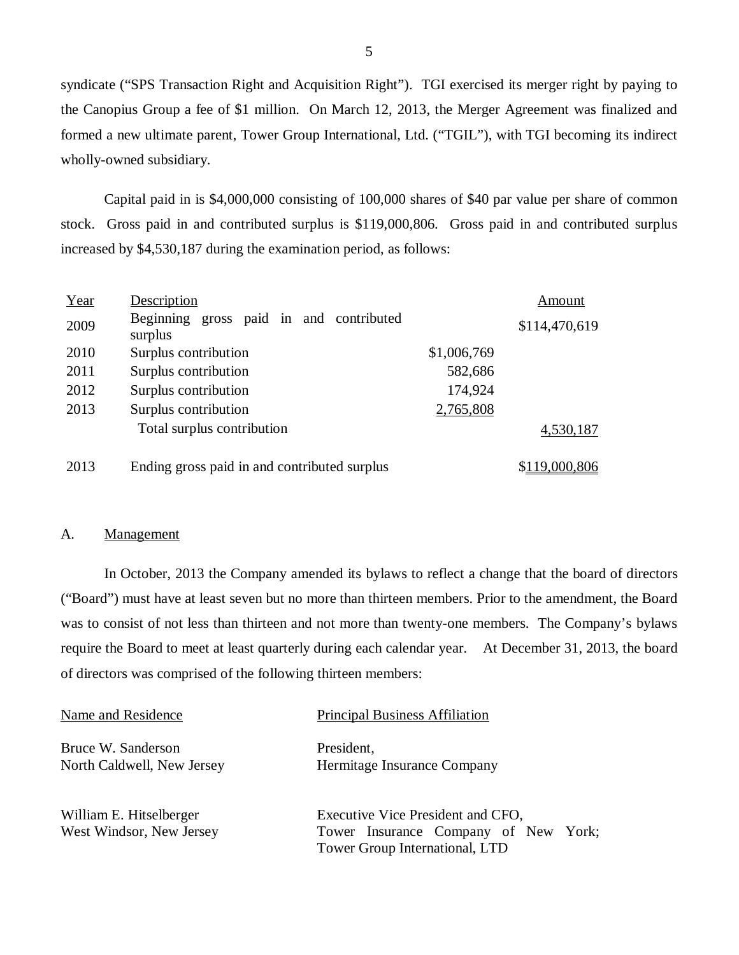syndicate ("SPS Transaction Right and Acquisition Right"). TGI exercised its merger right by paying to the Canopius Group a fee of \$1 million. On March 12, 2013, the Merger Agreement was finalized and formed a new ultimate parent, Tower Group International, Ltd. ("TGIL"), with TGI becoming its indirect wholly-owned subsidiary.

Capital paid in is \$4,000,000 consisting of 100,000 shares of \$40 par value per share of common stock. Gross paid in and contributed surplus is \$119,000,806. Gross paid in and contributed surplus increased by \$4,530,187 during the examination period, as follows:

| Year | <b>Description</b>                                 |             | Amount        |
|------|----------------------------------------------------|-------------|---------------|
| 2009 | Beginning gross paid in and contributed<br>surplus |             | \$114,470,619 |
| 2010 | Surplus contribution                               | \$1,006,769 |               |
| 2011 | Surplus contribution                               | 582,686     |               |
| 2012 | Surplus contribution                               | 174,924     |               |
| 2013 | Surplus contribution                               | 2,765,808   |               |
|      | Total surplus contribution                         |             | 4,530,187     |
| 2013 | Ending gross paid in and contributed surplus       |             | \$119,000,806 |

#### A. Management

In October, 2013 the Company amended its bylaws to reflect a change that the board of directors ("Board") must have at least seven but no more than thirteen members. Prior to the amendment, the Board was to consist of not less than thirteen and not more than twenty-one members. The Company's bylaws require the Board to meet at least quarterly during each calendar year. At December 31, 2013, the board of directors was comprised of the following thirteen members:

| Name and Residence                                  | <b>Principal Business Affiliation</b>                                                                       |
|-----------------------------------------------------|-------------------------------------------------------------------------------------------------------------|
| Bruce W. Sanderson<br>North Caldwell, New Jersey    | President,<br>Hermitage Insurance Company                                                                   |
| William E. Hitselberger<br>West Windsor, New Jersey | Executive Vice President and CFO,<br>Tower Insurance Company of New York;<br>Tower Group International, LTD |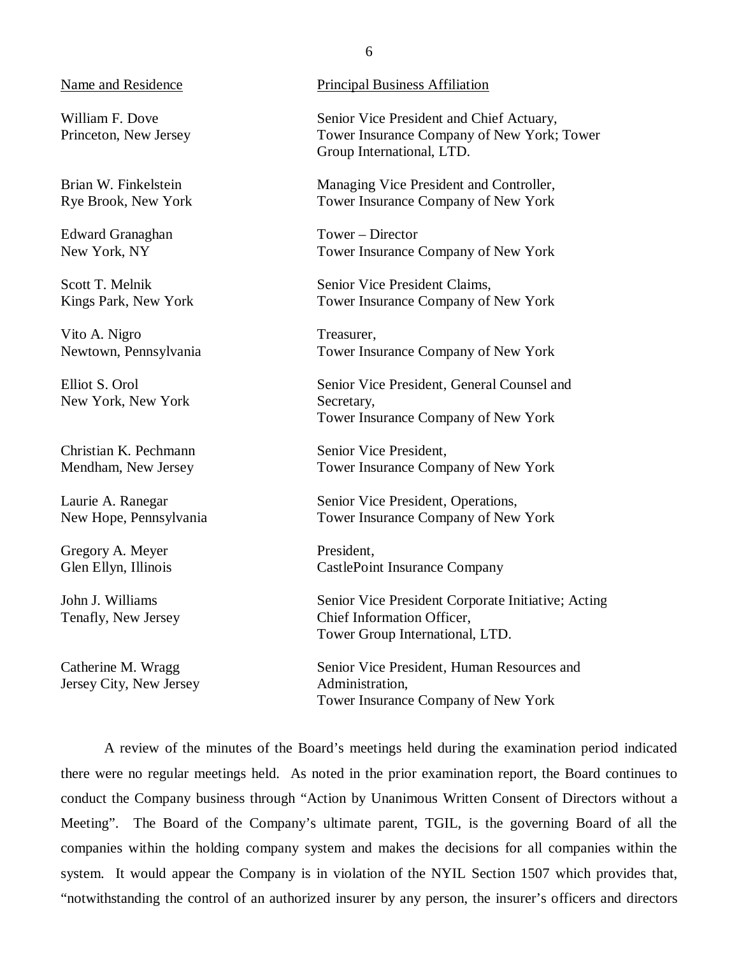William F. Dove Princeton, New Jersey

Brian W. Finkelstein Rye Brook, New York

Edward Granaghan New York, NY

Scott T. Melnik Kings Park, New York

Vito A. Nigro Newtown, Pennsylvania

Elliot S. Orol New York, New York

Christian K. Pechmann Mendham, New Jersey

Laurie A. Ranegar New Hope, Pennsylvania

Gregory A. Meyer Glen Ellyn, Illinois

John J. Williams Tenafly, New Jersey

Catherine M. Wragg Jersey City, New Jersey

#### Name and Residence Principal Business Affiliation

Senior Vice President and Chief Actuary, Tower Insurance Company of New York; Tower Group International, LTD.

Managing Vice President and Controller, Tower Insurance Company of New York

Tower – Director Tower Insurance Company of New York

Senior Vice President Claims, Tower Insurance Company of New York

Treasurer, Tower Insurance Company of New York

Senior Vice President, General Counsel and Secretary, Tower Insurance Company of New York

Senior Vice President, Tower Insurance Company of New York

Senior Vice President, Operations, Tower Insurance Company of New York

President, CastlePoint Insurance Company

Senior Vice President Corporate Initiative; Acting Chief Information Officer, Tower Group International, LTD.

Senior Vice President, Human Resources and Administration, Tower Insurance Company of New York

A review of the minutes of the Board's meetings held during the examination period indicated there were no regular meetings held. As noted in the prior examination report, the Board continues to conduct the Company business through "Action by Unanimous Written Consent of Directors without a Meeting". The Board of the Company's ultimate parent, TGIL, is the governing Board of all the companies within the holding company system and makes the decisions for all companies within the system. It would appear the Company is in violation of the NYIL Section 1507 which provides that, "notwithstanding the control of an authorized insurer by any person, the insurer's officers and directors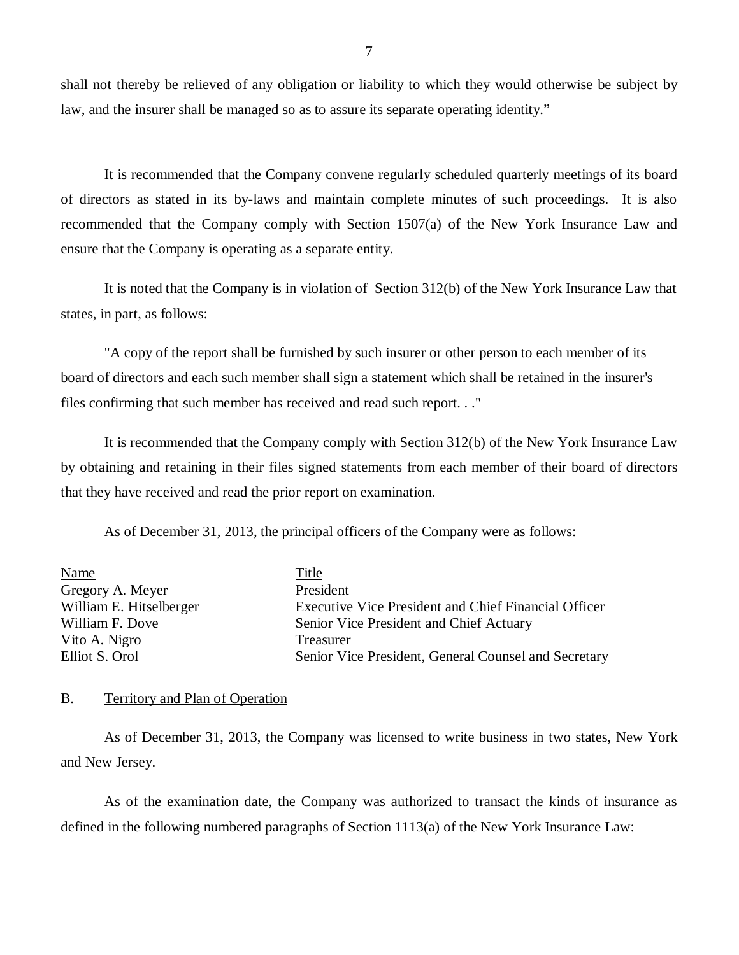<span id="page-8-0"></span>shall not thereby be relieved of any obligation or liability to which they would otherwise be subject by law, and the insurer shall be managed so as to assure its separate operating identity."

It is recommended that the Company convene regularly scheduled quarterly meetings of its board of directors as stated in its by-laws and maintain complete minutes of such proceedings. It is also recommended that the Company comply with Section 1507(a) of the New York Insurance Law and ensure that the Company is operating as a separate entity.

It is noted that the Company is in violation of Section 312(b) of the New York Insurance Law that states, in part, as follows:

"A copy of the report shall be furnished by such insurer or other person to each member of its board of directors and each such member shall sign a statement which shall be retained in the insurer's files confirming that such member has received and read such report. . ."

It is recommended that the Company comply with Section 312(b) of the New York Insurance Law by obtaining and retaining in their files signed statements from each member of their board of directors that they have received and read the prior report on examination.

As of December 31, 2013, the principal officers of the Company were as follows:

| <b>Name</b>             | Title                                                       |
|-------------------------|-------------------------------------------------------------|
| Gregory A. Meyer        | President                                                   |
| William E. Hitselberger | <b>Executive Vice President and Chief Financial Officer</b> |
| William F. Dove         | Senior Vice President and Chief Actuary                     |
| Vito A. Nigro           | <b>Treasurer</b>                                            |
| Elliot S. Orol          | Senior Vice President, General Counsel and Secretary        |

#### B. Territory and Plan of Operation

As of December 31, 2013, the Company was licensed to write business in two states, New York and New Jersey.

As of the examination date, the Company was authorized to transact the kinds of insurance as defined in the following numbered paragraphs of Section 1113(a) of the New York Insurance Law: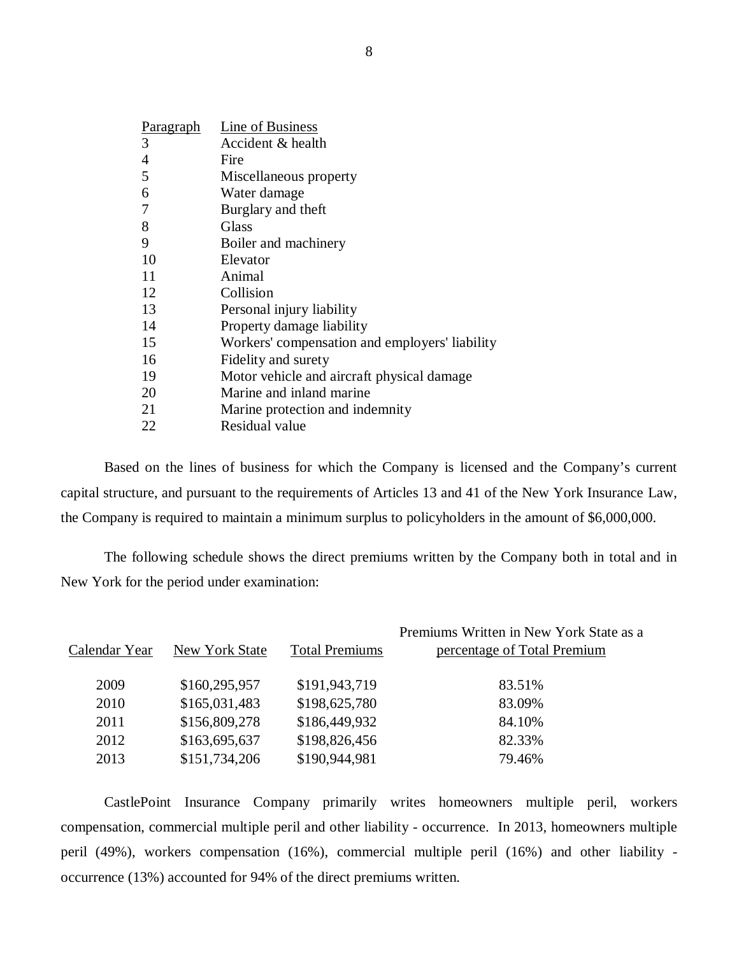| <b>Paragraph</b> | <b>Line of Business</b>                        |
|------------------|------------------------------------------------|
| 3                | Accident & health                              |
| 4                | Fire                                           |
| 5                | Miscellaneous property                         |
| 6                | Water damage                                   |
| 7                | Burglary and theft                             |
| 8                | Glass                                          |
| 9                | Boiler and machinery                           |
| 10               | Elevator                                       |
| 11               | Animal                                         |
| 12               | Collision                                      |
| 13               | Personal injury liability                      |
| 14               | Property damage liability                      |
| 15               | Workers' compensation and employers' liability |
| 16               | Fidelity and surety                            |
| 19               | Motor vehicle and aircraft physical damage     |
| 20               | Marine and inland marine                       |
| 21               | Marine protection and indemnity                |
| 22               | Residual value                                 |

Based on the lines of business for which the Company is licensed and the Company's current capital structure, and pursuant to the requirements of Articles 13 and 41 of the New York Insurance Law, the Company is required to maintain a minimum surplus to policyholders in the amount of \$6,000,000.

The following schedule shows the direct premiums written by the Company both in total and in New York for the period under examination:

| Calendar Year | New York State | <b>Total Premiums</b> | Premiums Written in New York State as a<br>percentage of Total Premium |
|---------------|----------------|-----------------------|------------------------------------------------------------------------|
| 2009          | \$160,295,957  | \$191,943,719         | 83.51%                                                                 |
| 2010          | \$165,031,483  | \$198,625,780         | 83.09%                                                                 |
| 2011          | \$156,809,278  | \$186,449,932         | 84.10%                                                                 |
| 2012          | \$163,695,637  | \$198,826,456         | 82.33%                                                                 |
| 2013          | \$151,734,206  | \$190,944,981         | 79.46%                                                                 |

CastlePoint Insurance Company primarily writes homeowners multiple peril, workers compensation, commercial multiple peril and other liability - occurrence. In 2013, homeowners multiple peril (49%), workers compensation (16%), commercial multiple peril (16%) and other liability occurrence (13%) accounted for 94% of the direct premiums written.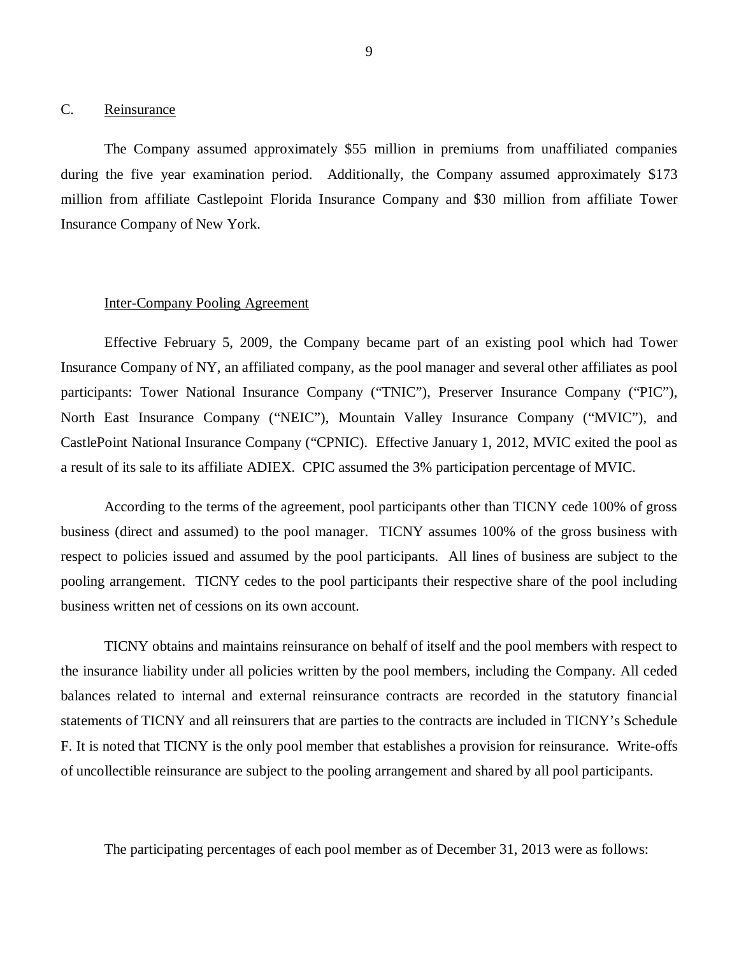#### <span id="page-10-0"></span>C. Reinsurance

The Company assumed approximately \$55 million in premiums from unaffiliated companies during the five year examination period. Additionally, the Company assumed approximately \$173 million from affiliate Castlepoint Florida Insurance Company and \$30 million from affiliate Tower Insurance Company of New York.

#### Inter-Company Pooling Agreement

Effective February 5, 2009, the Company became part of an existing pool which had Tower Insurance Company of NY, an affiliated company, as the pool manager and several other affiliates as pool participants: Tower National Insurance Company ("TNIC"), Preserver Insurance Company ("PIC"), North East Insurance Company ("NEIC"), Mountain Valley Insurance Company ("MVIC"), and CastlePoint National Insurance Company ("CPNIC). Effective January 1, 2012, MVIC exited the pool as a result of its sale to its affiliate ADIEX. CPIC assumed the 3% participation percentage of MVIC.

According to the terms of the agreement, pool participants other than TICNY cede 100% of gross business (direct and assumed) to the pool manager. TICNY assumes 100% of the gross business with respect to policies issued and assumed by the pool participants. All lines of business are subject to the pooling arrangement. TICNY cedes to the pool participants their respective share of the pool including business written net of cessions on its own account.

TICNY obtains and maintains reinsurance on behalf of itself and the pool members with respect to the insurance liability under all policies written by the pool members, including the Company. All ceded balances related to internal and external reinsurance contracts are recorded in the statutory financial statements of TICNY and all reinsurers that are parties to the contracts are included in TICNY's Schedule F. It is noted that TICNY is the only pool member that establishes a provision for reinsurance. Write-offs of uncollectible reinsurance are subject to the pooling arrangement and shared by all pool participants.

The participating percentages of each pool member as of December 31, 2013 were as follows: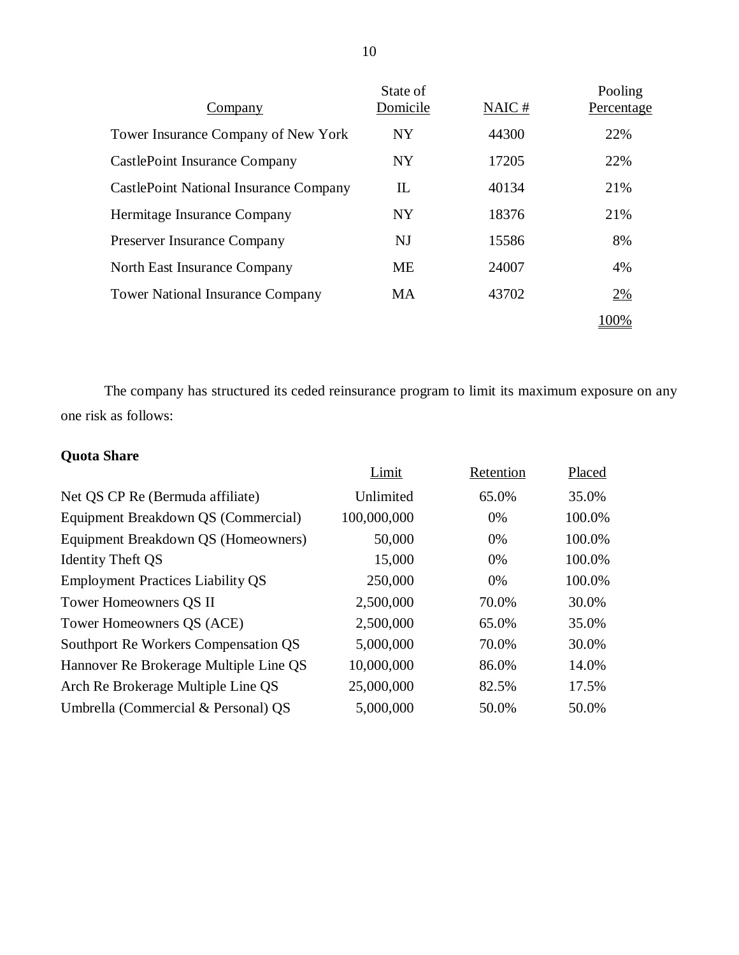| Company                                       | State of<br>Domicile | NAIC# | Pooling<br>Percentage |
|-----------------------------------------------|----------------------|-------|-----------------------|
| Tower Insurance Company of New York           | <b>NY</b>            | 44300 | 22%                   |
| CastlePoint Insurance Company                 | <b>NY</b>            | 17205 | 22%                   |
| <b>CastlePoint National Insurance Company</b> | IL                   | 40134 | 21%                   |
| Hermitage Insurance Company                   | <b>NY</b>            | 18376 | 21%                   |
| <b>Preserver Insurance Company</b>            | <b>NJ</b>            | 15586 | 8%                    |
| North East Insurance Company                  | <b>ME</b>            | 24007 | 4%                    |
| <b>Tower National Insurance Company</b>       | <b>MA</b>            | 43702 | $2\%$                 |
|                                               |                      |       | )0%                   |

The company has structured its ceded reinsurance program to limit its maximum exposure on any one risk as follows:

# **Quota Share**

|                                          | Limit       | Retention | Placed |
|------------------------------------------|-------------|-----------|--------|
| Net QS CP Re (Bermuda affiliate)         | Unlimited   | 65.0%     | 35.0%  |
| Equipment Breakdown QS (Commercial)      | 100,000,000 | 0%        | 100.0% |
| Equipment Breakdown QS (Homeowners)      | 50,000      | 0%        | 100.0% |
| <b>Identity Theft QS</b>                 | 15,000      | 0%        | 100.0% |
| <b>Employment Practices Liability QS</b> | 250,000     | 0%        | 100.0% |
| Tower Homeowners QS II                   | 2,500,000   | 70.0%     | 30.0%  |
| Tower Homeowners QS (ACE)                | 2,500,000   | 65.0%     | 35.0%  |
| Southport Re Workers Compensation QS     | 5,000,000   | 70.0%     | 30.0%  |
| Hannover Re Brokerage Multiple Line QS   | 10,000,000  | 86.0%     | 14.0%  |
| Arch Re Brokerage Multiple Line QS       | 25,000,000  | 82.5%     | 17.5%  |
| Umbrella (Commercial & Personal) QS      | 5,000,000   | 50.0%     | 50.0%  |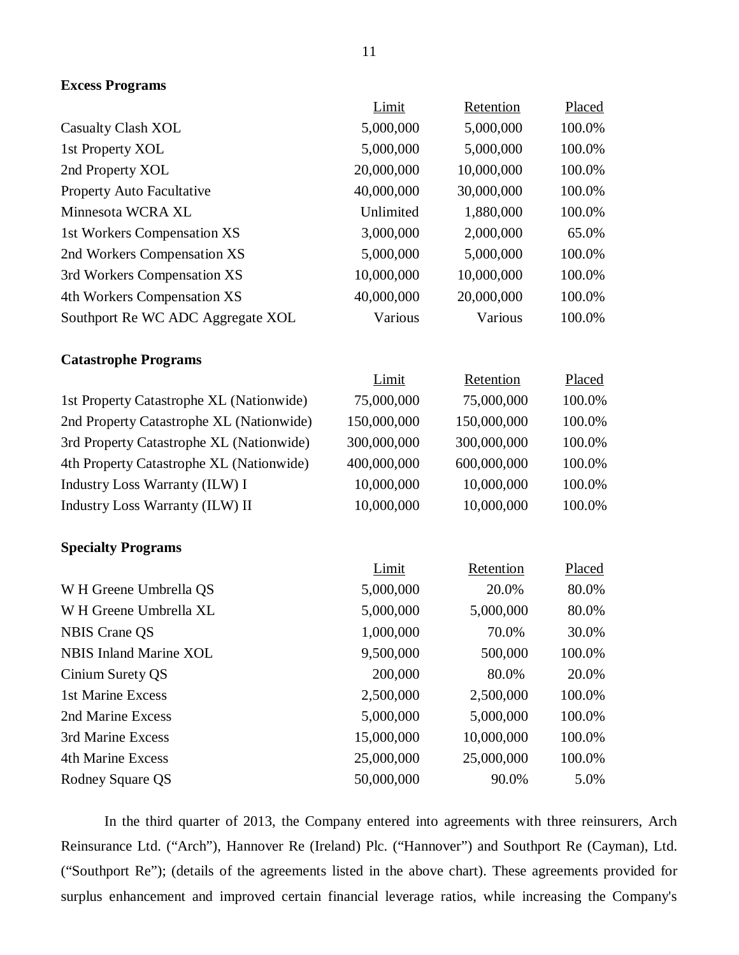**Excess Programs** 

|                                          | Limit       | Retention   | Placed |
|------------------------------------------|-------------|-------------|--------|
| <b>Casualty Clash XOL</b>                | 5,000,000   | 5,000,000   | 100.0% |
| 1st Property XOL                         | 5,000,000   | 5,000,000   | 100.0% |
| 2nd Property XOL                         | 20,000,000  | 10,000,000  | 100.0% |
| <b>Property Auto Facultative</b>         | 40,000,000  | 30,000,000  | 100.0% |
| Minnesota WCRA XL                        | Unlimited   | 1,880,000   | 100.0% |
| 1st Workers Compensation XS              | 3,000,000   | 2,000,000   | 65.0%  |
| 2nd Workers Compensation XS              | 5,000,000   | 5,000,000   | 100.0% |
| 3rd Workers Compensation XS              | 10,000,000  | 10,000,000  | 100.0% |
| 4th Workers Compensation XS              | 40,000,000  | 20,000,000  | 100.0% |
| Southport Re WC ADC Aggregate XOL        | Various     | Various     | 100.0% |
| <b>Catastrophe Programs</b>              |             |             |        |
|                                          | Limit       | Retention   | Placed |
| 1st Property Catastrophe XL (Nationwide) | 75,000,000  | 75,000,000  | 100.0% |
| 2nd Property Catastrophe XL (Nationwide) | 150,000,000 | 150,000,000 | 100.0% |
| 3rd Property Catastrophe XL (Nationwide) | 300,000,000 | 300,000,000 | 100.0% |
| 4th Property Catastrophe XL (Nationwide) | 400,000,000 | 600,000,000 | 100.0% |
| Industry Loss Warranty (ILW) I           | 10,000,000  | 10,000,000  | 100.0% |
| Industry Loss Warranty (ILW) II          | 10,000,000  | 10,000,000  | 100.0% |
| <b>Specialty Programs</b>                |             |             |        |
|                                          | Limit       | Retention   | Placed |
| W H Greene Umbrella QS                   | 5,000,000   | 20.0%       | 80.0%  |
| W H Greene Umbrella XL                   | 5,000,000   | 5,000,000   | 80.0%  |
| <b>NBIS Crane QS</b>                     | 1,000,000   | 70.0%       | 30.0%  |
| <b>NBIS Inland Marine XOL</b>            | 9,500,000   | 500,000     | 100.0% |
| Cinium Surety QS                         | 200,000     | 80.0%       | 20.0%  |
| 1st Marine Excess                        | 2,500,000   | 2,500,000   | 100.0% |
| 2nd Marine Excess                        | 5,000,000   | 5,000,000   | 100.0% |
| 3rd Marine Excess                        | 15,000,000  | 10,000,000  | 100.0% |
| <b>4th Marine Excess</b>                 | 25,000,000  | 25,000,000  | 100.0% |
| Rodney Square QS                         | 50,000,000  | 90.0%       | 5.0%   |

In the third quarter of 2013, the Company entered into agreements with three reinsurers, Arch Reinsurance Ltd. ("Arch"), Hannover Re (Ireland) Plc. ("Hannover") and Southport Re (Cayman), Ltd. ("Southport Re"); (details of the agreements listed in the above chart). These agreements provided for surplus enhancement and improved certain financial leverage ratios, while increasing the Company's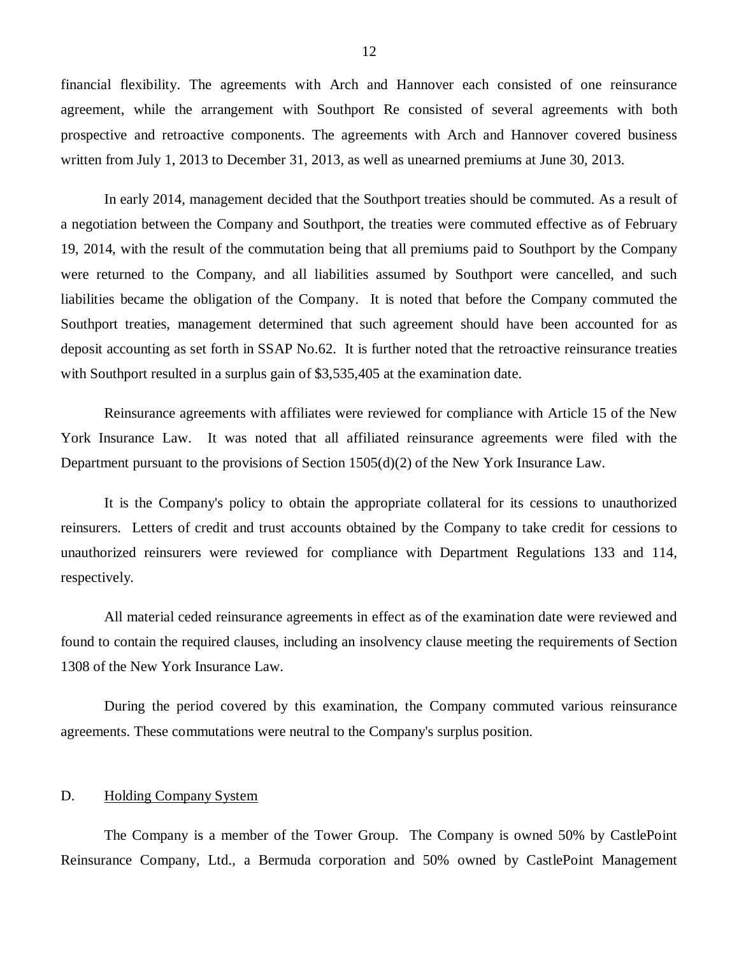<span id="page-13-0"></span>financial flexibility. The agreements with Arch and Hannover each consisted of one reinsurance agreement, while the arrangement with Southport Re consisted of several agreements with both prospective and retroactive components. The agreements with Arch and Hannover covered business written from July 1, 2013 to December 31, 2013, as well as unearned premiums at June 30, 2013.

In early 2014, management decided that the Southport treaties should be commuted. As a result of a negotiation between the Company and Southport, the treaties were commuted effective as of February 19, 2014, with the result of the commutation being that all premiums paid to Southport by the Company were returned to the Company, and all liabilities assumed by Southport were cancelled, and such liabilities became the obligation of the Company. It is noted that before the Company commuted the Southport treaties, management determined that such agreement should have been accounted for as deposit accounting as set forth in SSAP No.62. It is further noted that the retroactive reinsurance treaties with Southport resulted in a surplus gain of \$3,535,405 at the examination date.

Reinsurance agreements with affiliates were reviewed for compliance with Article 15 of the New York Insurance Law. It was noted that all affiliated reinsurance agreements were filed with the Department pursuant to the provisions of Section 1505(d)(2) of the New York Insurance Law.

It is the Company's policy to obtain the appropriate collateral for its cessions to unauthorized reinsurers. Letters of credit and trust accounts obtained by the Company to take credit for cessions to unauthorized reinsurers were reviewed for compliance with Department Regulations 133 and 114, respectively.

All material ceded reinsurance agreements in effect as of the examination date were reviewed and found to contain the required clauses, including an insolvency clause meeting the requirements of Section 1308 of the New York Insurance Law.

During the period covered by this examination, the Company commuted various reinsurance agreements. These commutations were neutral to the Company's surplus position.

#### D. Holding Company System

The Company is a member of the Tower Group. The Company is owned 50% by CastlePoint Reinsurance Company, Ltd., a Bermuda corporation and 50% owned by CastlePoint Management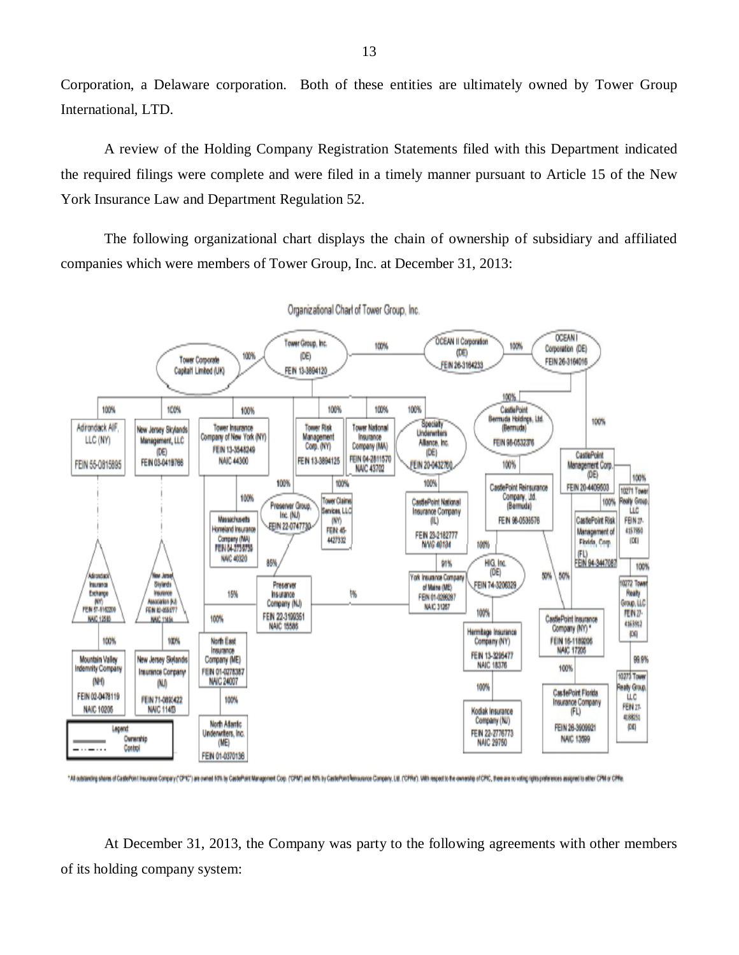Corporation, a Delaware corporation. Both of these entities are ultimately owned by Tower Group International, LTD.

A review of the Holding Company Registration Statements filed with this Department indicated the required filings were complete and were filed in a timely manner pursuant to Article 15 of the New York Insurance Law and Department Regulation 52.

The following organizational chart displays the chain of ownership of subsidiary and affiliated companies which were members of Tower Group, Inc. at December 31, 2013:



Organizational Charl of Tower Group, Inc.

\* M automing shans of CastelVent treasures Corpory (CPIC') are owned 57% by CastelPaint Management Corp. (CPM) and 60% by CastelPoint Menagement Corpory, Ltd. (CPRef). With respect to the coresting of CPIC, there are no vo

At December 31, 2013, the Company was party to the following agreements with other members of its holding company system: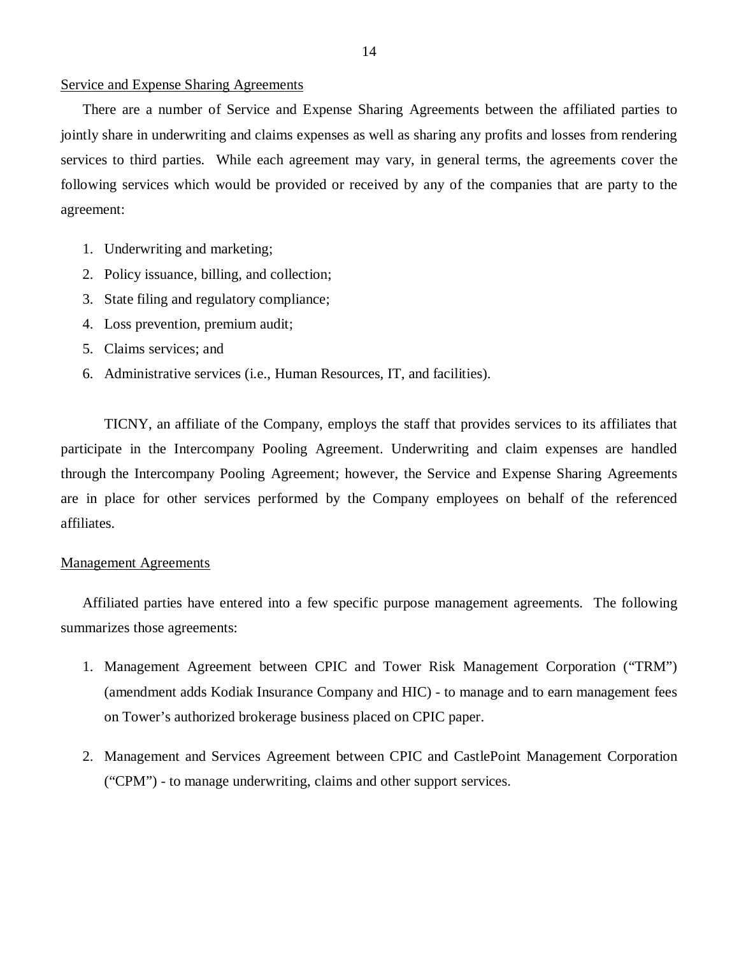#### Service and Expense Sharing Agreements

There are a number of Service and Expense Sharing Agreements between the affiliated parties to jointly share in underwriting and claims expenses as well as sharing any profits and losses from rendering services to third parties. While each agreement may vary, in general terms, the agreements cover the following services which would be provided or received by any of the companies that are party to the agreement:

- 1. Underwriting and marketing;
- 2. Policy issuance, billing, and collection;
- 3. State filing and regulatory compliance;
- 4. Loss prevention, premium audit;
- 5. Claims services; and
- 6. Administrative services (i.e., Human Resources, IT, and facilities).

TICNY, an affiliate of the Company, employs the staff that provides services to its affiliates that participate in the Intercompany Pooling Agreement. Underwriting and claim expenses are handled through the Intercompany Pooling Agreement; however, the Service and Expense Sharing Agreements are in place for other services performed by the Company employees on behalf of the referenced affiliates.

#### Management Agreements

Affiliated parties have entered into a few specific purpose management agreements. The following summarizes those agreements:

- 1. Management Agreement between CPIC and Tower Risk Management Corporation ("TRM") (amendment adds Kodiak Insurance Company and HIC) - to manage and to earn management fees on Tower's authorized brokerage business placed on CPIC paper.
- 2. Management and Services Agreement between CPIC and CastlePoint Management Corporation ("CPM") - to manage underwriting, claims and other support services.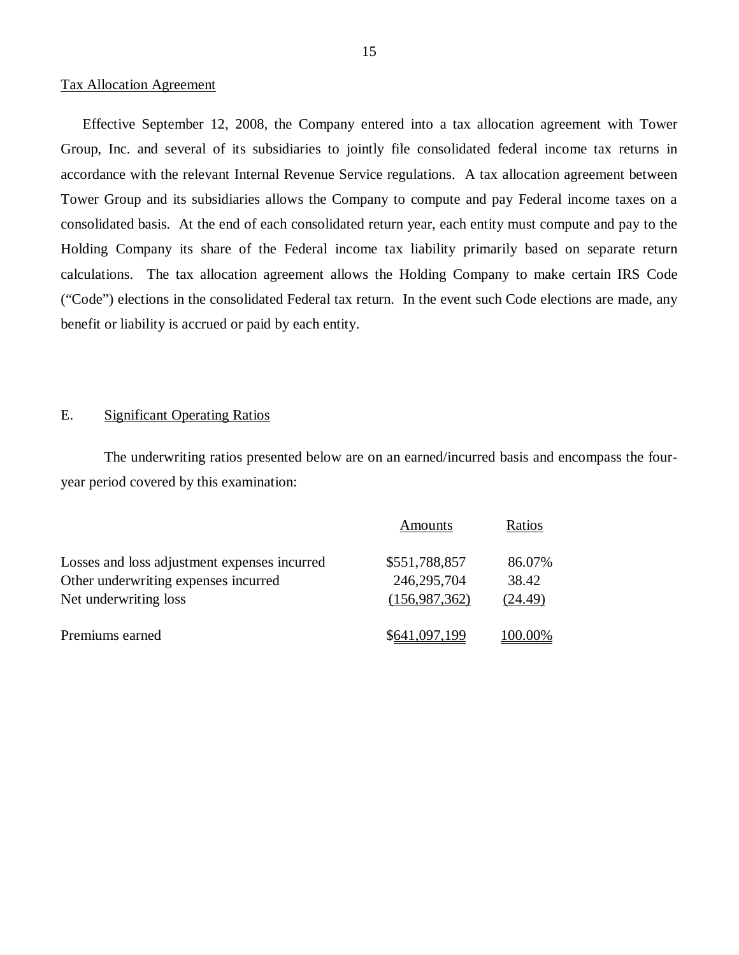#### <span id="page-16-0"></span>Tax Allocation Agreement

Effective September 12, 2008, the Company entered into a tax allocation agreement with Tower Group, Inc. and several of its subsidiaries to jointly file consolidated federal income tax returns in accordance with the relevant Internal Revenue Service regulations. A tax allocation agreement between Tower Group and its subsidiaries allows the Company to compute and pay Federal income taxes on a consolidated basis. At the end of each consolidated return year, each entity must compute and pay to the Holding Company its share of the Federal income tax liability primarily based on separate return calculations. The tax allocation agreement allows the Holding Company to make certain IRS Code ("Code") elections in the consolidated Federal tax return. In the event such Code elections are made, any benefit or liability is accrued or paid by each entity.

#### E. Significant Operating Ratios

The underwriting ratios presented below are on an earned/incurred basis and encompass the fouryear period covered by this examination:

|                                              | Amounts       | Ratios  |
|----------------------------------------------|---------------|---------|
| Losses and loss adjustment expenses incurred | \$551,788,857 | 86.07%  |
| Other underwriting expenses incurred         | 246,295,704   | 38.42   |
| Net underwriting loss                        | (156,987,362) | (24.49) |
| Premiums earned                              | \$641,097,199 | 100.00% |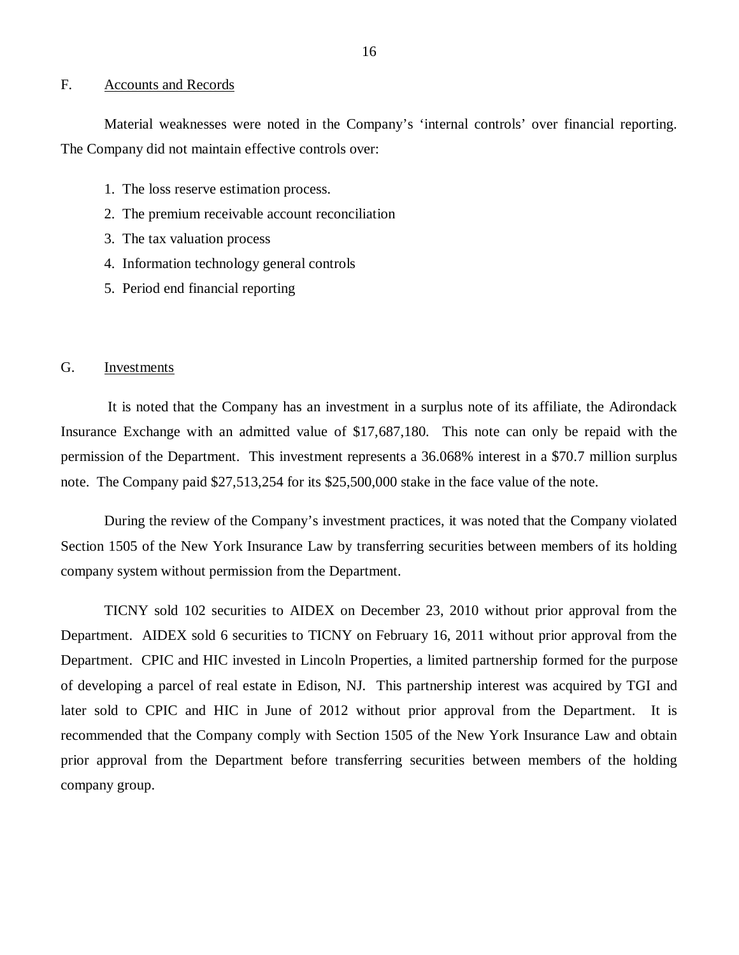#### <span id="page-17-0"></span>F. Accounts and Records

Material weaknesses were noted in the Company's 'internal controls' over financial reporting. The Company did not maintain effective controls over:

- 1. The loss reserve estimation process.
- 2. The premium receivable account reconciliation
- 3. The tax valuation process
- 4. Information technology general controls
- 5. Period end financial reporting

#### G. Investments

It is noted that the Company has an investment in a surplus note of its affiliate, the Adirondack Insurance Exchange with an admitted value of \$17,687,180. This note can only be repaid with the permission of the Department. This investment represents a 36.068% interest in a \$70.7 million surplus note. The Company paid \$27,513,254 for its \$25,500,000 stake in the face value of the note.

During the review of the Company's investment practices, it was noted that the Company violated Section 1505 of the New York Insurance Law by transferring securities between members of its holding company system without permission from the Department.

TICNY sold 102 securities to AIDEX on December 23, 2010 without prior approval from the Department. AIDEX sold 6 securities to TICNY on February 16, 2011 without prior approval from the Department. CPIC and HIC invested in Lincoln Properties, a limited partnership formed for the purpose of developing a parcel of real estate in Edison, NJ. This partnership interest was acquired by TGI and later sold to CPIC and HIC in June of 2012 without prior approval from the Department. It is recommended that the Company comply with Section 1505 of the New York Insurance Law and obtain prior approval from the Department before transferring securities between members of the holding company group.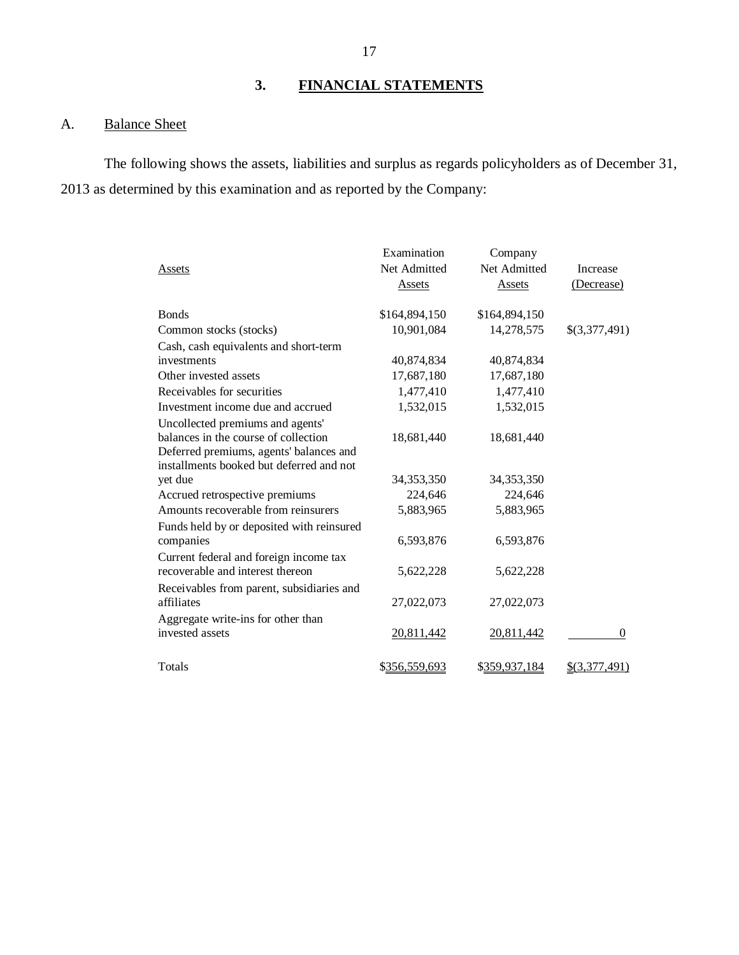## **3. FINANCIAL STATEMENTS**

## A. Balance Sheet

The following shows the assets, liabilities and surplus as regards policyholders as of December 31, 2013 as determined by this examination and as reported by the Company:

| Assets                                                                                                                                                          | Examination<br>Net Admitted<br><b>Assets</b> |               | Increase<br>(Decrease)   |
|-----------------------------------------------------------------------------------------------------------------------------------------------------------------|----------------------------------------------|---------------|--------------------------|
| <b>Bonds</b>                                                                                                                                                    | \$164,894,150                                | \$164,894,150 |                          |
| Common stocks (stocks)                                                                                                                                          | 10,901,084                                   | 14,278,575    | \$(3,377,491)            |
| Cash, cash equivalents and short-term                                                                                                                           |                                              |               |                          |
| investments                                                                                                                                                     | 40,874,834                                   | 40,874,834    |                          |
| Other invested assets                                                                                                                                           | 17,687,180                                   | 17,687,180    |                          |
| Receivables for securities                                                                                                                                      | 1,477,410                                    | 1,477,410     |                          |
| Investment income due and accrued                                                                                                                               | 1,532,015                                    | 1,532,015     |                          |
| Uncollected premiums and agents'<br>balances in the course of collection<br>Deferred premiums, agents' balances and<br>installments booked but deferred and not | 18,681,440                                   | 18,681,440    |                          |
| yet due                                                                                                                                                         | 34, 353, 350                                 | 34, 353, 350  |                          |
| Accrued retrospective premiums                                                                                                                                  | 224,646                                      | 224,646       |                          |
| Amounts recoverable from reinsurers                                                                                                                             | 5,883,965                                    | 5,883,965     |                          |
| Funds held by or deposited with reinsured<br>companies                                                                                                          | 6,593,876                                    | 6,593,876     |                          |
| Current federal and foreign income tax<br>recoverable and interest thereon                                                                                      | 5,622,228                                    | 5,622,228     |                          |
| Receivables from parent, subsidiaries and<br>affiliates                                                                                                         | 27,022,073                                   | 27,022,073    |                          |
| Aggregate write-ins for other than<br>invested assets                                                                                                           | 20,811,442                                   | 20,811,442    | $\Omega$                 |
| Totals                                                                                                                                                          | \$356,559,693                                | \$359,937,184 | $\frac{1}{2}(3,377,491)$ |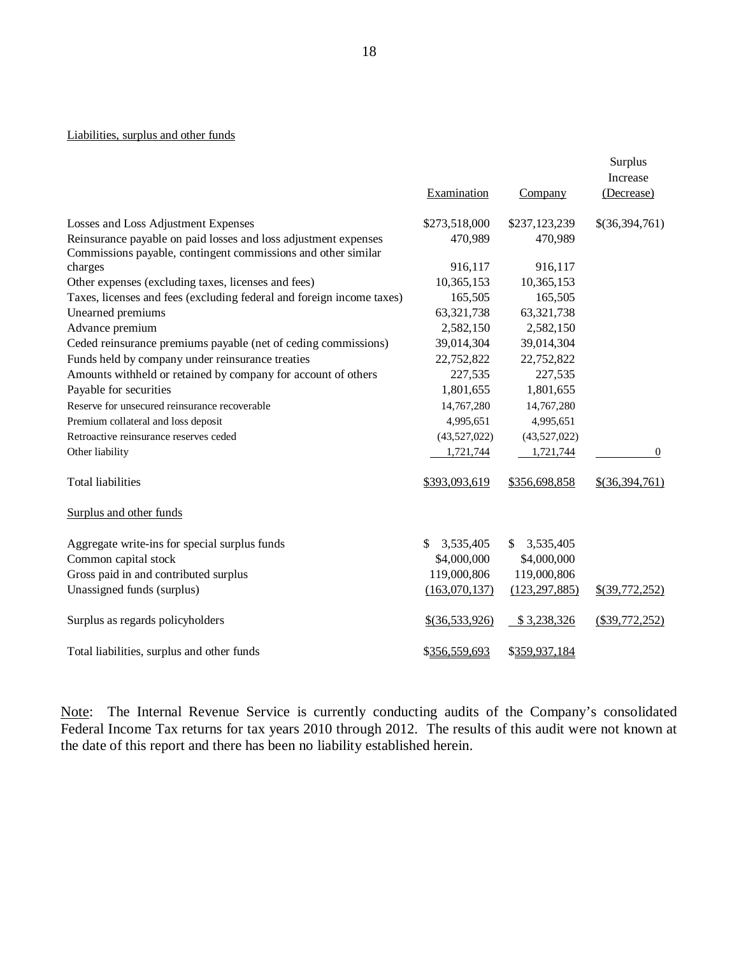#### Liabilities, surplus and other funds

|                                                                                                                                  | Examination                | Company         | Surplus<br>Increase<br>(Decrease) |
|----------------------------------------------------------------------------------------------------------------------------------|----------------------------|-----------------|-----------------------------------|
| Losses and Loss Adjustment Expenses                                                                                              | \$273,518,000              | \$237,123,239   | \$(36,394,761)                    |
| Reinsurance payable on paid losses and loss adjustment expenses<br>Commissions payable, contingent commissions and other similar | 470,989                    | 470.989         |                                   |
| charges                                                                                                                          | 916,117                    | 916,117         |                                   |
| Other expenses (excluding taxes, licenses and fees)                                                                              | 10,365,153                 | 10,365,153      |                                   |
| Taxes, licenses and fees (excluding federal and foreign income taxes)                                                            | 165,505                    | 165,505         |                                   |
| Unearned premiums                                                                                                                | 63,321,738                 | 63,321,738      |                                   |
| Advance premium                                                                                                                  | 2,582,150                  | 2,582,150       |                                   |
| Ceded reinsurance premiums payable (net of ceding commissions)                                                                   | 39,014,304                 | 39,014,304      |                                   |
| Funds held by company under reinsurance treaties                                                                                 | 22,752,822                 | 22,752,822      |                                   |
| Amounts withheld or retained by company for account of others                                                                    | 227,535                    | 227,535         |                                   |
| Payable for securities                                                                                                           | 1,801,655                  | 1,801,655       |                                   |
| Reserve for unsecured reinsurance recoverable                                                                                    | 14,767,280                 | 14,767,280      |                                   |
| Premium collateral and loss deposit                                                                                              | 4,995,651                  | 4,995,651       |                                   |
| Retroactive reinsurance reserves ceded                                                                                           | (43,527,022)               | (43,527,022)    |                                   |
| Other liability                                                                                                                  | 1,721,744                  | 1,721,744       | $\theta$                          |
| <b>Total liabilities</b>                                                                                                         | \$393,093,619              | \$356,698,858   | \$(36,394,761)                    |
| Surplus and other funds                                                                                                          |                            |                 |                                   |
| Aggregate write-ins for special surplus funds                                                                                    | 3,535,405<br><sup>\$</sup> | 3,535,405<br>\$ |                                   |
| Common capital stock                                                                                                             | \$4,000,000                | \$4,000,000     |                                   |
| Gross paid in and contributed surplus                                                                                            | 119,000,806                | 119,000,806     |                                   |
| Unassigned funds (surplus)                                                                                                       | (163,070,137)              | (123, 297, 885) | $$$ (39,772,252)                  |
| Surplus as regards policyholders                                                                                                 | $$$ (36,533,926)           | \$3,238,326     | $(\$39,772,252)$                  |
| Total liabilities, surplus and other funds                                                                                       | \$356,559,693              | \$359,937,184   |                                   |

Note: The Internal Revenue Service is currently conducting audits of the Company's consolidated Federal Income Tax returns for tax years 2010 through 2012. The results of this audit were not known at the date of this report and there has been no liability established herein.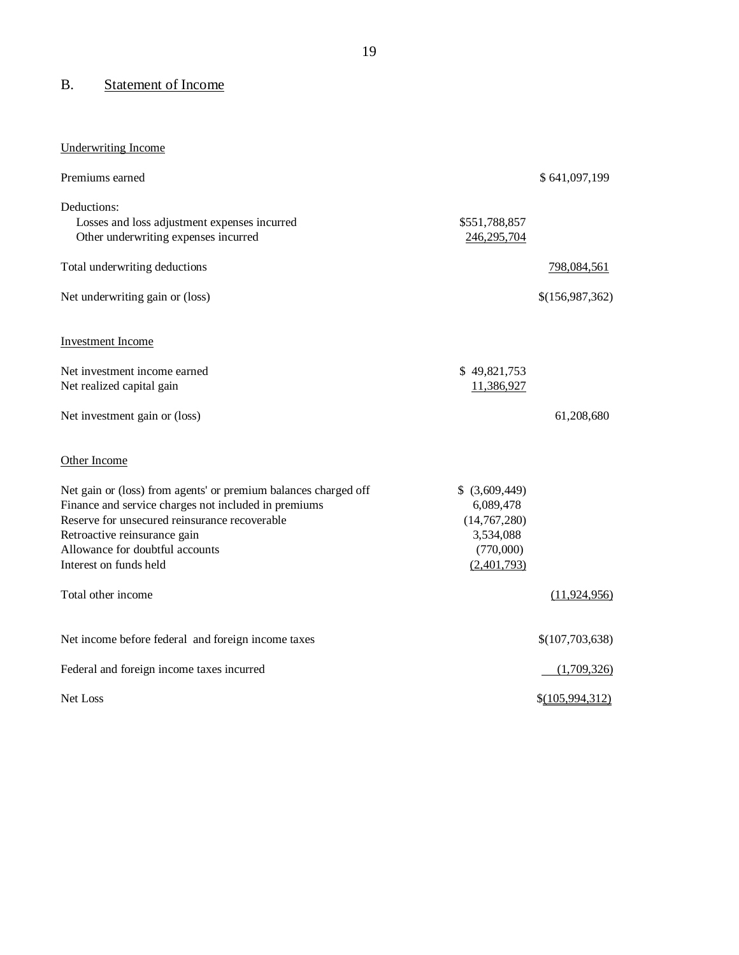## B. Statement of Income

## Underwriting Income

| Premiums earned                                                                                                                                                                                                                                                       |                                                                                      | \$641,097,199   |
|-----------------------------------------------------------------------------------------------------------------------------------------------------------------------------------------------------------------------------------------------------------------------|--------------------------------------------------------------------------------------|-----------------|
| Deductions:<br>Losses and loss adjustment expenses incurred<br>Other underwriting expenses incurred                                                                                                                                                                   | \$551,788,857<br>246,295,704                                                         |                 |
| Total underwriting deductions                                                                                                                                                                                                                                         |                                                                                      | 798,084,561     |
| Net underwriting gain or (loss)                                                                                                                                                                                                                                       |                                                                                      | \$(156,987,362) |
| <b>Investment Income</b>                                                                                                                                                                                                                                              |                                                                                      |                 |
| Net investment income earned<br>Net realized capital gain                                                                                                                                                                                                             | \$49,821,753<br>11,386,927                                                           |                 |
| Net investment gain or (loss)                                                                                                                                                                                                                                         |                                                                                      | 61,208,680      |
| Other Income                                                                                                                                                                                                                                                          |                                                                                      |                 |
| Net gain or (loss) from agents' or premium balances charged off<br>Finance and service charges not included in premiums<br>Reserve for unsecured reinsurance recoverable<br>Retroactive reinsurance gain<br>Allowance for doubtful accounts<br>Interest on funds held | \$ (3,609,449)<br>6,089,478<br>(14,767,280)<br>3,534,088<br>(770,000)<br>(2,401,793) |                 |
| Total other income                                                                                                                                                                                                                                                    |                                                                                      | (11, 924, 956)  |
| Net income before federal and foreign income taxes                                                                                                                                                                                                                    |                                                                                      | \$(107,703,638) |
| Federal and foreign income taxes incurred                                                                                                                                                                                                                             |                                                                                      | (1,709,326)     |
| Net Loss                                                                                                                                                                                                                                                              |                                                                                      | \$(105,994,312) |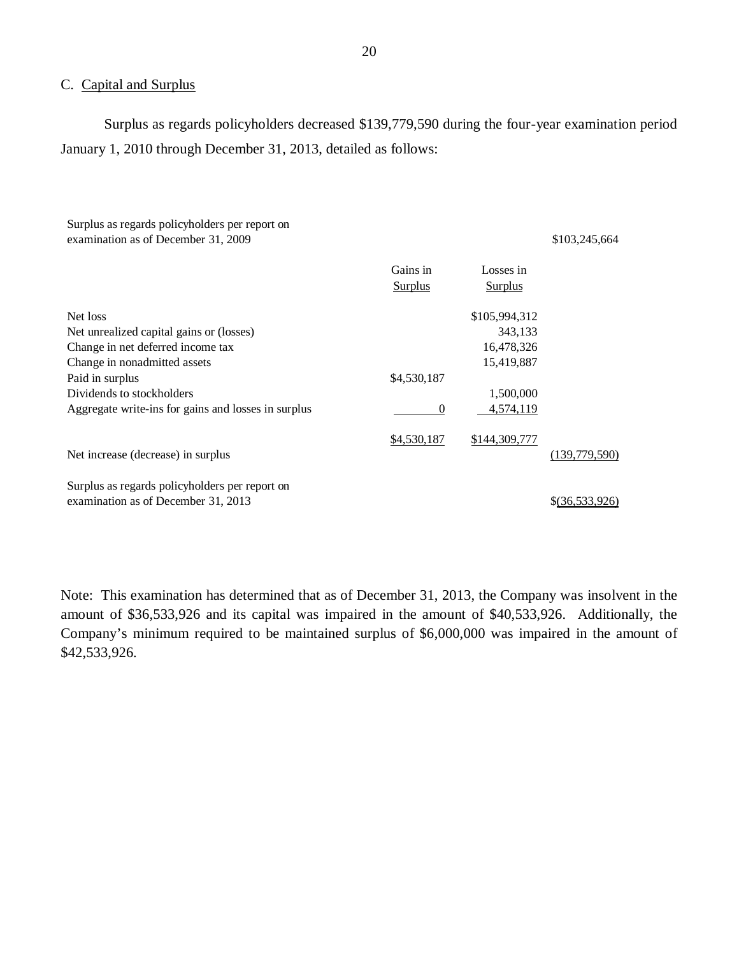#### C. Capital and Surplus

Surplus as regards policyholders decreased \$139,779,590 during the four-year examination period January 1, 2010 through December 31, 2013, detailed as follows:

| Surplus as regards policyholders per report on      |                |                |                |
|-----------------------------------------------------|----------------|----------------|----------------|
| examination as of December 31, 2009                 |                |                | \$103,245,664  |
|                                                     | Gains in       | Losses in      |                |
|                                                     | <b>Surplus</b> | <b>Surplus</b> |                |
| Net loss                                            |                | \$105,994,312  |                |
| Net unrealized capital gains or (losses)            |                | 343,133        |                |
| Change in net deferred income tax                   |                | 16,478,326     |                |
| Change in nonadmitted assets                        |                | 15,419,887     |                |
| Paid in surplus                                     | \$4,530,187    |                |                |
| Dividends to stockholders                           |                | 1,500,000      |                |
| Aggregate write-ins for gains and losses in surplus | $\overline{0}$ | 4,574,119      |                |
|                                                     | \$4,530,187    | \$144,309,777  |                |
| Net increase (decrease) in surplus                  |                |                | (139,779,590)  |
| Surplus as regards policyholders per report on      |                |                |                |
| examination as of December 31, 2013                 |                |                | \$(36,533,926) |

Note: This examination has determined that as of December 31, 2013, the Company was insolvent in the amount of \$36,533,926 and its capital was impaired in the amount of \$40,533,926. Additionally, the Company's minimum required to be maintained surplus of \$6,000,000 was impaired in the amount of \$42,533,926.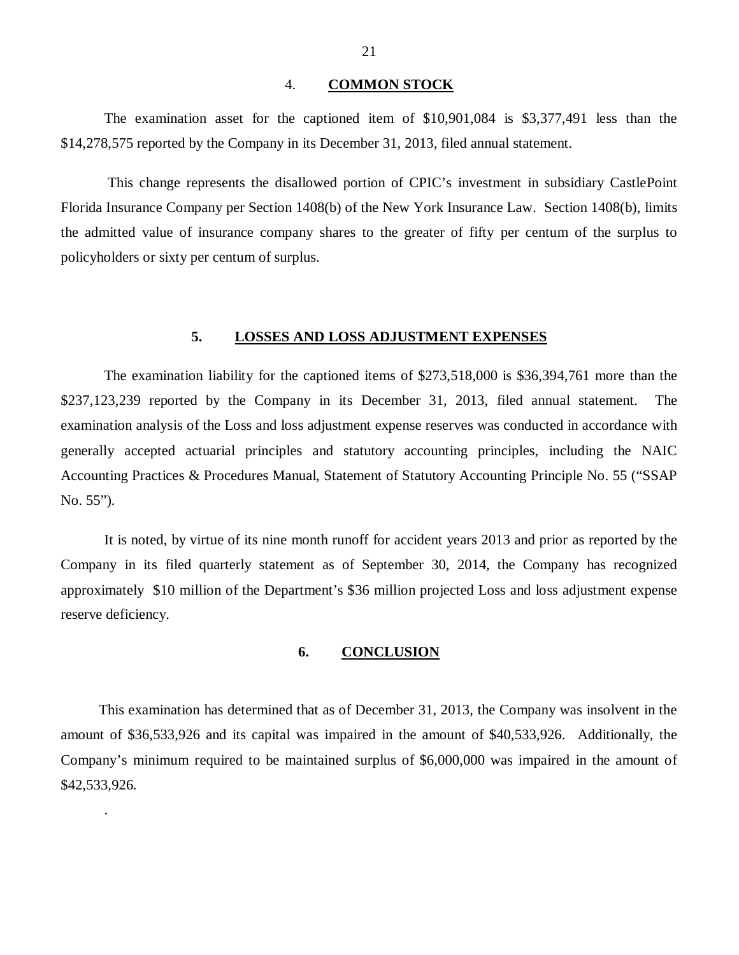#### 4. **COMMON STOCK**

<span id="page-22-0"></span>The examination asset for the captioned item of \$10,901,084 is \$3,377,491 less than the \$14,278,575 reported by the Company in its December 31, 2013, filed annual statement.

This change represents the disallowed portion of CPIC's investment in subsidiary CastlePoint Florida Insurance Company per Section 1408(b) of the New York Insurance Law. Section 1408(b), limits the admitted value of insurance company shares to the greater of fifty per centum of the surplus to policyholders or sixty per centum of surplus.

#### **5. LOSSES AND LOSS ADJUSTMENT EXPENSES**

The examination liability for the captioned items of \$273,518,000 is \$36,394,761 more than the \$237,123,239 reported by the Company in its December 31, 2013, filed annual statement. The examination analysis of the Loss and loss adjustment expense reserves was conducted in accordance with generally accepted actuarial principles and statutory accounting principles, including the NAIC Accounting Practices & Procedures Manual, Statement of Statutory Accounting Principle No. 55 ("SSAP No. 55").

It is noted, by virtue of its nine month runoff for accident years 2013 and prior as reported by the Company in its filed quarterly statement as of September 30, 2014, the Company has recognized approximately \$10 million of the Department's \$36 million projected Loss and loss adjustment expense reserve deficiency.

#### **6. CONCLUSION**

This examination has determined that as of December 31, 2013, the Company was insolvent in the amount of \$36,533,926 and its capital was impaired in the amount of \$40,533,926. Additionally, the Company's minimum required to be maintained surplus of \$6,000,000 was impaired in the amount of \$42,533,926.

.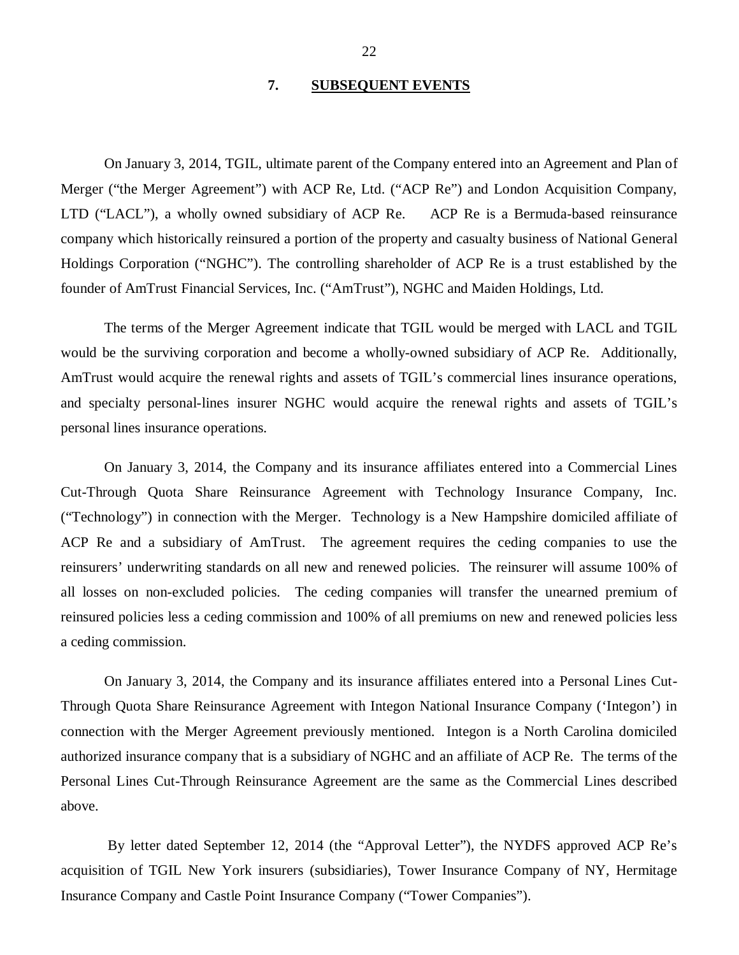#### **7. SUBSEQUENT EVENTS**

<span id="page-23-0"></span>On January 3, 2014, TGIL, ultimate parent of the Company entered into an Agreement and Plan of Merger ("the Merger Agreement") with ACP Re, Ltd. ("ACP Re") and London Acquisition Company, LTD ("LACL"), a wholly owned subsidiary of ACP Re. ACP Re is a Bermuda-based reinsurance company which historically reinsured a portion of the property and casualty business of National General Holdings Corporation ("NGHC"). The controlling shareholder of ACP Re is a trust established by the founder of AmTrust Financial Services, Inc. ("AmTrust"), NGHC and Maiden Holdings, Ltd.

The terms of the Merger Agreement indicate that TGIL would be merged with LACL and TGIL would be the surviving corporation and become a wholly-owned subsidiary of ACP Re. Additionally, AmTrust would acquire the renewal rights and assets of TGIL's commercial lines insurance operations, and specialty personal-lines insurer NGHC would acquire the renewal rights and assets of TGIL's personal lines insurance operations.

On January 3, 2014, the Company and its insurance affiliates entered into a Commercial Lines Cut-Through Quota Share Reinsurance Agreement with Technology Insurance Company, Inc. ("Technology") in connection with the Merger. Technology is a New Hampshire domiciled affiliate of ACP Re and a subsidiary of AmTrust. The agreement requires the ceding companies to use the reinsurers' underwriting standards on all new and renewed policies. The reinsurer will assume 100% of all losses on non-excluded policies. The ceding companies will transfer the unearned premium of reinsured policies less a ceding commission and 100% of all premiums on new and renewed policies less a ceding commission.

On January 3, 2014, the Company and its insurance affiliates entered into a Personal Lines Cut-Through Quota Share Reinsurance Agreement with Integon National Insurance Company ('Integon') in connection with the Merger Agreement previously mentioned. Integon is a North Carolina domiciled authorized insurance company that is a subsidiary of NGHC and an affiliate of ACP Re. The terms of the Personal Lines Cut-Through Reinsurance Agreement are the same as the Commercial Lines described above.

By letter dated September 12, 2014 (the "Approval Letter"), the NYDFS approved ACP Re's acquisition of TGIL New York insurers (subsidiaries), Tower Insurance Company of NY, Hermitage Insurance Company and Castle Point Insurance Company ("Tower Companies").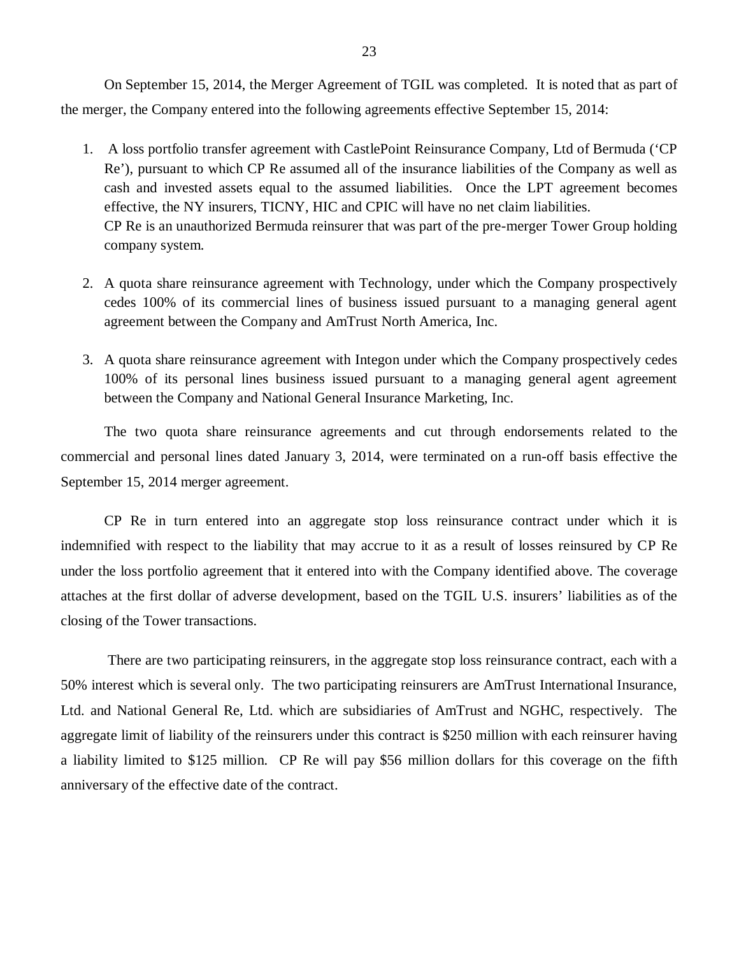On September 15, 2014, the Merger Agreement of TGIL was completed. It is noted that as part of the merger, the Company entered into the following agreements effective September 15, 2014:

- 1. A loss portfolio transfer agreement with CastlePoint Reinsurance Company, Ltd of Bermuda ('CP Re'), pursuant to which CP Re assumed all of the insurance liabilities of the Company as well as cash and invested assets equal to the assumed liabilities. Once the LPT agreement becomes effective, the NY insurers, TICNY, HIC and CPIC will have no net claim liabilities. CP Re is an unauthorized Bermuda reinsurer that was part of the pre-merger Tower Group holding company system.
- 2. A quota share reinsurance agreement with Technology, under which the Company prospectively cedes 100% of its commercial lines of business issued pursuant to a managing general agent agreement between the Company and AmTrust North America, Inc.
- 3. A quota share reinsurance agreement with Integon under which the Company prospectively cedes 100% of its personal lines business issued pursuant to a managing general agent agreement between the Company and National General Insurance Marketing, Inc.

The two quota share reinsurance agreements and cut through endorsements related to the commercial and personal lines dated January 3, 2014, were terminated on a run-off basis effective the September 15, 2014 merger agreement.

CP Re in turn entered into an aggregate stop loss reinsurance contract under which it is indemnified with respect to the liability that may accrue to it as a result of losses reinsured by CP Re under the loss portfolio agreement that it entered into with the Company identified above. The coverage attaches at the first dollar of adverse development, based on the TGIL U.S. insurers' liabilities as of the closing of the Tower transactions.

There are two participating reinsurers, in the aggregate stop loss reinsurance contract, each with a 50% interest which is several only. The two participating reinsurers are AmTrust International Insurance, Ltd. and National General Re, Ltd. which are subsidiaries of AmTrust and NGHC, respectively. The aggregate limit of liability of the reinsurers under this contract is \$250 million with each reinsurer having a liability limited to \$125 million. CP Re will pay \$56 million dollars for this coverage on the fifth anniversary of the effective date of the contract.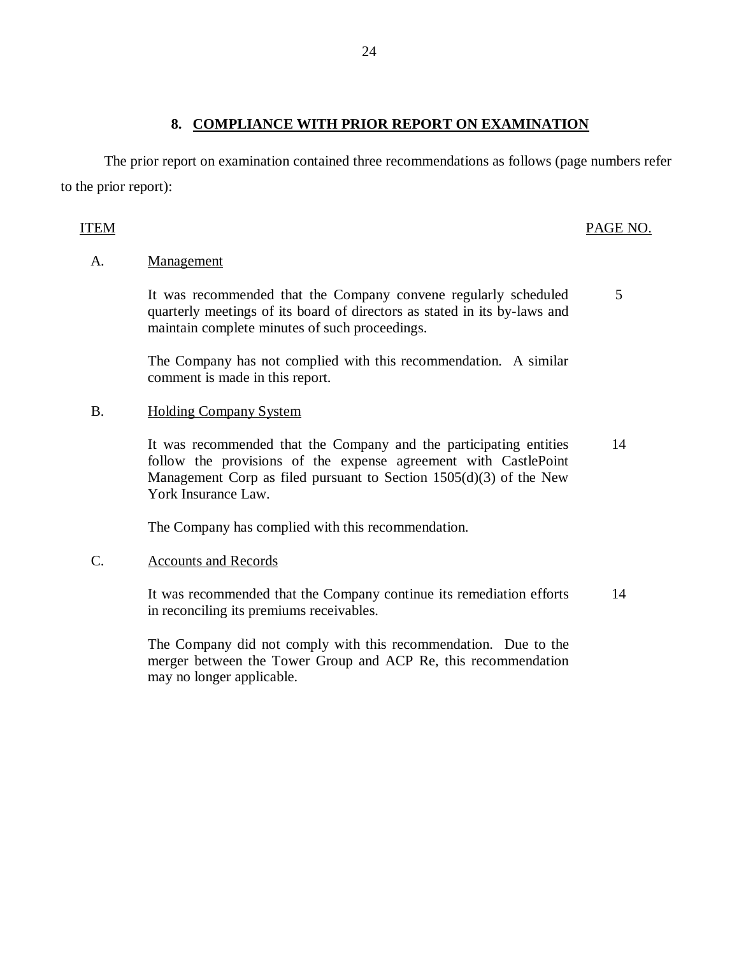## **8. COMPLIANCE WITH PRIOR REPORT ON EXAMINATION**

The prior report on examination contained three recommendations as follows (page numbers refer to the prior report):

## ITEM PAGE NO.

A. Management

It was recommended that the Company convene regularly scheduled quarterly meetings of its board of directors as stated in its by-laws and maintain complete minutes of such proceedings. 5

The Company has not complied with this recommendation. A similar comment is made in this report.

### B. Holding Company System

It was recommended that the Company and the participating entities follow the provisions of the expense agreement with CastlePoint Management Corp as filed pursuant to Section 1505(d)(3) of the New York Insurance Law. 14

The Company has complied with this recommendation.

## C. Accounts and Records

It was recommended that the Company continue its remediation efforts in reconciling its premiums receivables. 14

The Company did not comply with this recommendation. Due to the merger between the Tower Group and ACP Re, this recommendation may no longer applicable.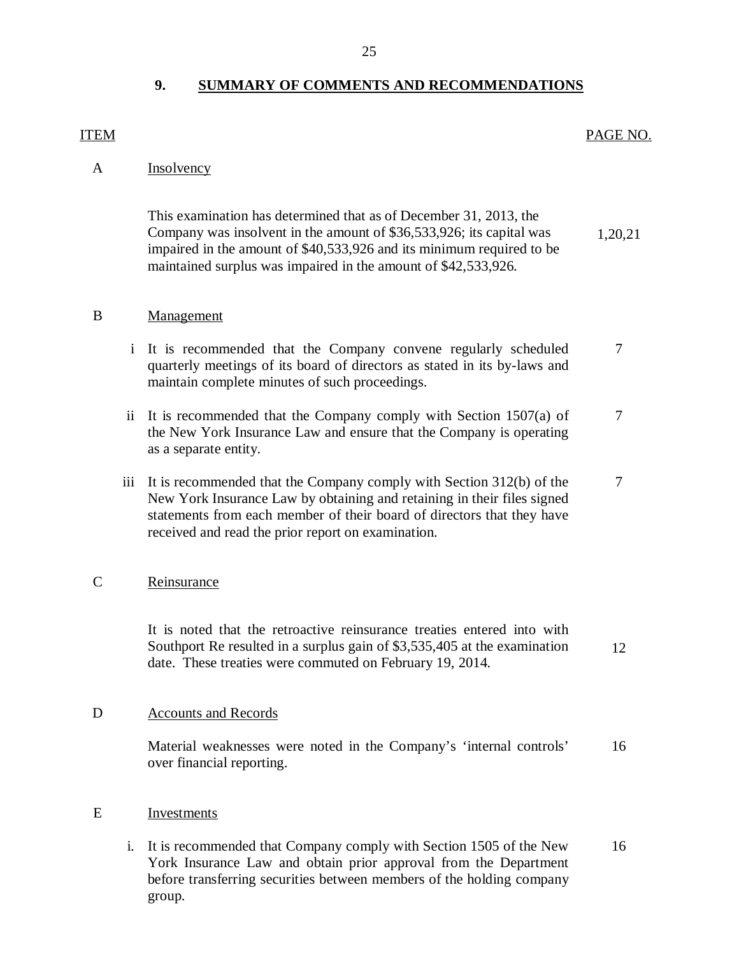## **9. SUMMARY OF COMMENTS AND RECOMMENDATIONS**

#### <span id="page-26-0"></span>ITEM

#### PAGE NO.

7

#### A Insolvency

This examination has determined that as of December 31, 2013, the Company was insolvent in the amount of \$36,533,926; its capital was impaired in the amount of \$40,533,926 and its minimum required to be maintained surplus was impaired in the amount of \$42,533,926. 1,20,21

#### B **Management**

- i It is recommended that the Company convene regularly scheduled quarterly meetings of its board of directors as stated in its by-laws and maintain complete minutes of such proceedings. 7
- ii It is recommended that the Company comply with Section 1507(a) of the New York Insurance Law and ensure that the Company is operating as a separate entity. 7
- iii It is recommended that the Company comply with Section 312(b) of the New York Insurance Law by obtaining and retaining in their files signed statements from each member of their board of directors that they have received and read the prior report on examination.

#### C Reinsurance

It is noted that the retroactive reinsurance treaties entered into with Southport Re resulted in a surplus gain of \$3,535,405 at the examination date. These treaties were commuted on February 19, 2014. 12

#### D Accounts and Records

Material weaknesses were noted in the Company's 'internal controls' over financial reporting. 16

#### $E$ **Investments**

i. It is recommended that Company comply with Section 1505 of the New York Insurance Law and obtain prior approval from the Department before transferring securities between members of the holding company group. 16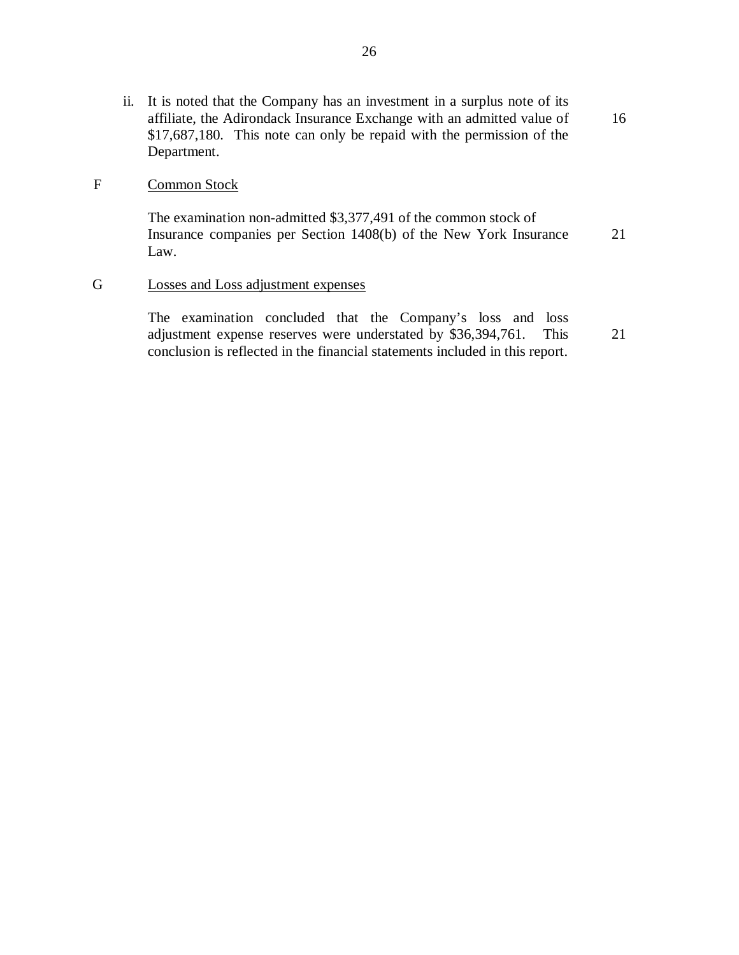16

## F Common Stock

The examination non-admitted \$3,377,491 of the common stock of Insurance companies per Section 1408(b) of the New York Insurance Law. 21

#### G Losses and Loss adjustment expenses

The examination concluded that the Company's loss and loss adjustment expense reserves were understated by \$36,394,761. This conclusion is reflected in the financial statements included in this report. 21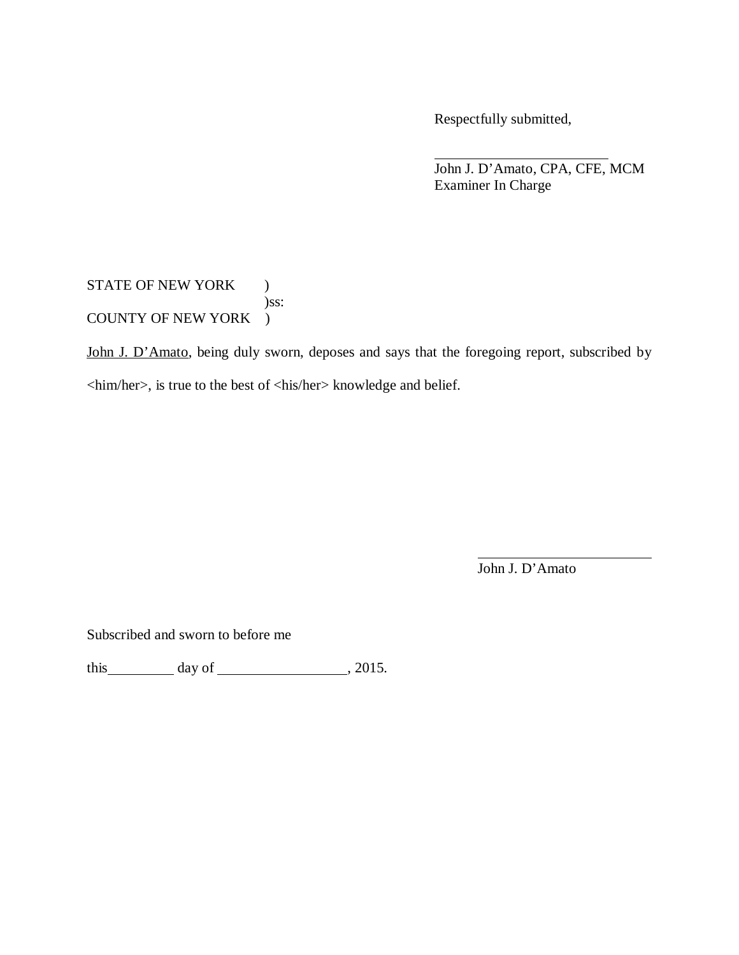Respectfully submitted,

John J. D'Amato, CPA, CFE, MCM Examiner In Charge

STATE OF NEW YORK ) )ss: COUNTY OF NEW YORK )

John J. D'Amato, being duly sworn, deposes and says that the foregoing report, subscribed by <him/her>, is true to the best of <his/her> knowledge and belief.

John J. D'Amato

Subscribed and sworn to before me

 $this$  day of  $\_\_\_\_\_$ , 2015.